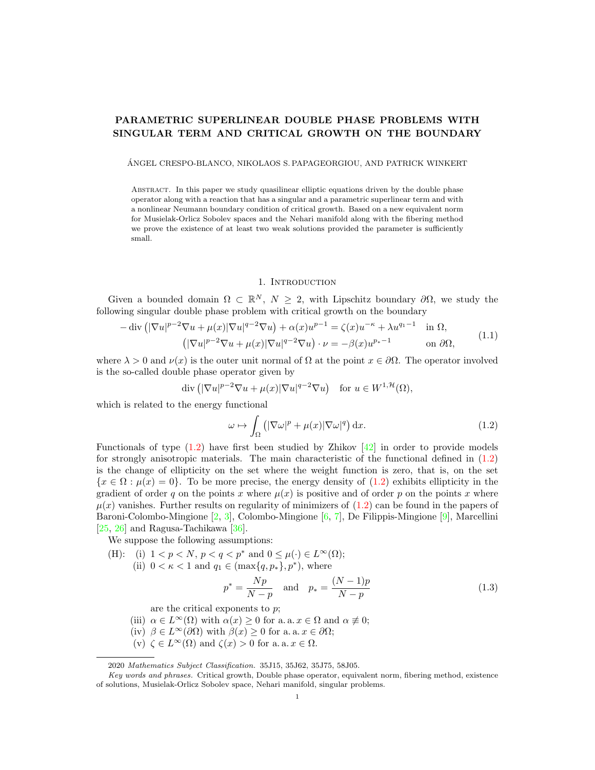# PARAMETRIC SUPERLINEAR DOUBLE PHASE PROBLEMS WITH SINGULAR TERM AND CRITICAL GROWTH ON THE BOUNDARY

ANGEL CRESPO-BLANCO, NIKOLAOS S. PAPAGEORGIOU, AND PATRICK WINKERT ´

Abstract. In this paper we study quasilinear elliptic equations driven by the double phase operator along with a reaction that has a singular and a parametric superlinear term and with a nonlinear Neumann boundary condition of critical growth. Based on a new equivalent norm for Musielak-Orlicz Sobolev spaces and the Nehari manifold along with the fibering method we prove the existence of at least two weak solutions provided the parameter is sufficiently small.

## 1. INTRODUCTION

Given a bounded domain  $\Omega \subset \mathbb{R}^N$ ,  $N \geq 2$ , with Lipschitz boundary  $\partial \Omega$ , we study the following singular double phase problem with critical growth on the boundary

<span id="page-0-1"></span>
$$
-\operatorname{div}\left(|\nabla u|^{p-2}\nabla u + \mu(x)|\nabla u|^{q-2}\nabla u\right) + \alpha(x)u^{p-1} = \zeta(x)u^{-\kappa} + \lambda u^{q-1} \quad \text{in } \Omega,
$$
  

$$
\left(|\nabla u|^{p-2}\nabla u + \mu(x)|\nabla u|^{q-2}\nabla u\right) \cdot \nu = -\beta(x)u^{p-1} \quad \text{on } \partial\Omega,
$$
 (1.1)

where  $\lambda > 0$  and  $\nu(x)$  is the outer unit normal of  $\Omega$  at the point  $x \in \partial\Omega$ . The operator involved is the so-called double phase operator given by

$$
\operatorname{div}\left( |\nabla u|^{p-2} \nabla u + \mu(x) |\nabla u|^{q-2} \nabla u \right) \quad \text{for } u \in W^{1, \mathcal{H}}(\Omega),
$$

which is related to the energy functional

<span id="page-0-0"></span>
$$
\omega \mapsto \int_{\Omega} \left( |\nabla \omega|^p + \mu(x) |\nabla \omega|^q \right) dx. \tag{1.2}
$$

Functionals of type  $(1.2)$  have first been studied by Zhikov  $[42]$  in order to provide models for strongly anisotropic materials. The main characteristic of the functional defined in [\(1.2\)](#page-0-0) is the change of ellipticity on the set where the weight function is zero, that is, on the set  ${x \in \Omega : \mu(x) = 0}$ . To be more precise, the energy density of [\(1.2\)](#page-0-0) exhibits ellipticity in the gradient of order q on the points x where  $\mu(x)$  is positive and of order p on the points x where  $\mu(x)$  vanishes. Further results on regularity of minimizers of  $(1.2)$  can be found in the papers of Baroni-Colombo-Mingione [\[2,](#page-20-0) [3\]](#page-20-1), Colombo-Mingione [\[6,](#page-20-2) [7\]](#page-20-3), De Filippis-Mingione [\[9\]](#page-20-4), Marcellini [\[25,](#page-21-1) [26\]](#page-21-2) and Ragusa-Tachikawa [\[36\]](#page-21-3).

We suppose the following assumptions:

(H): (i)  $1 < p < N$ ,  $p < q < p^*$  and  $0 \leq \mu(\cdot) \in L^{\infty}(\Omega)$ ; (ii)  $0 < \kappa < 1$  and  $q_1 \in (\max\{q, p_*\}, p^*)$ , where

<span id="page-0-2"></span>
$$
p^* = \frac{Np}{N-p}
$$
 and  $p_* = \frac{(N-1)p}{N-p}$  (1.3)

are the critical exponents to  $p$ ;

- (iii)  $\alpha \in L^{\infty}(\Omega)$  with  $\alpha(x) \geq 0$  for a. a.  $x \in \Omega$  and  $\alpha \not\equiv 0$ ;
- (iv)  $\beta \in L^{\infty}(\partial \Omega)$  with  $\beta(x) \geq 0$  for a. a.  $x \in \partial \Omega$ ;
- (v)  $\zeta \in L^{\infty}(\Omega)$  and  $\zeta(x) > 0$  for a. a.  $x \in \Omega$ .

2020 Mathematics Subject Classification. 35J15, 35J62, 35J75, 58J05.

Key words and phrases. Critical growth, Double phase operator, equivalent norm, fibering method, existence of solutions, Musielak-Orlicz Sobolev space, Nehari manifold, singular problems.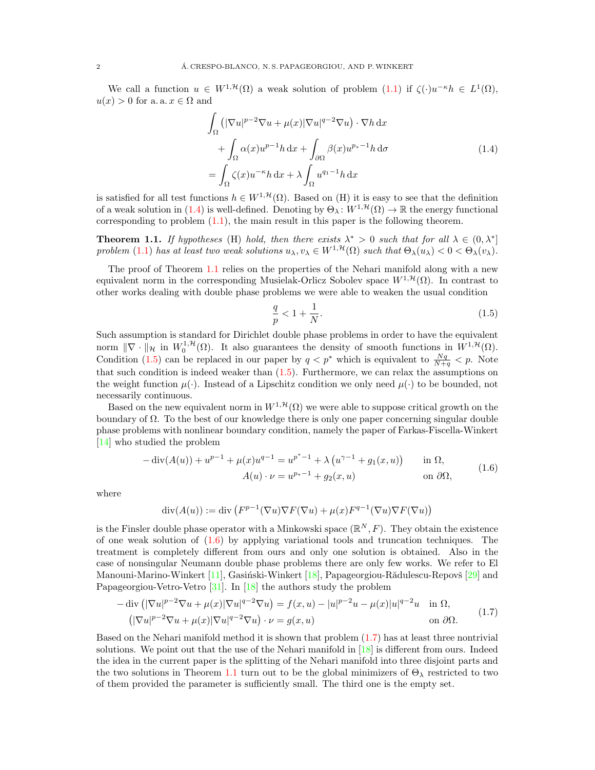We call a function  $u \in W^{1,\mathcal{H}}(\Omega)$  a weak solution of problem  $(1.1)$  if  $\zeta(\cdot)u^{-\kappa}h \in L^1(\Omega)$ ,  $u(x) > 0$  for a. a.  $x \in \Omega$  and

$$
\int_{\Omega} \left( |\nabla u|^{p-2} \nabla u + \mu(x) |\nabla u|^{q-2} \nabla u \right) \cdot \nabla h \, dx
$$
\n
$$
+ \int_{\Omega} \alpha(x) u^{p-1} h \, dx + \int_{\partial \Omega} \beta(x) u^{p-1} h \, d\sigma
$$
\n
$$
= \int_{\Omega} \zeta(x) u^{-\kappa} h \, dx + \lambda \int_{\Omega} u^{q-1} h \, dx \tag{1.4}
$$

<span id="page-1-0"></span>is satisfied for all test functions  $h \in W^{1,\mathcal{H}}(\Omega)$ . Based on (H) it is easy to see that the definition of a weak solution in [\(1.4\)](#page-1-0) is well-defined. Denoting by  $\Theta_\lambda: W^{1, \mathcal{H}}(\Omega) \to \mathbb{R}$  the energy functional corresponding to problem  $(1.1)$ , the main result in this paper is the following theorem.

<span id="page-1-1"></span>**Theorem 1.1.** If hypotheses (H) hold, then there exists  $\lambda^* > 0$  such that for all  $\lambda \in (0, \lambda^*]$ problem [\(1.1\)](#page-0-1) has at least two weak solutions  $u_\lambda, v_\lambda \in W^{1, \mathcal{H}}(\Omega)$  such that  $\Theta_\lambda(u_\lambda) < 0 < \Theta_\lambda(v_\lambda)$ .

The proof of Theorem [1.1](#page-1-1) relies on the properties of the Nehari manifold along with a new equivalent norm in the corresponding Musielak-Orlicz Sobolev space  $W^{1, \mathcal{H}}(\Omega)$ . In contrast to other works dealing with double phase problems we were able to weaken the usual condition

<span id="page-1-2"></span>
$$
\frac{q}{p} < 1 + \frac{1}{N}.\tag{1.5}
$$

Such assumption is standard for Dirichlet double phase problems in order to have the equivalent norm  $\|\nabla \cdot \|_{\mathcal{H}}$  in  $W_0^{1,\mathcal{H}}(\Omega)$ . It also guarantees the density of smooth functions in  $W^{1,\mathcal{H}}(\Omega)$ . Condition [\(1.5\)](#page-1-2) can be replaced in our paper by  $q < p^*$  which is equivalent to  $\frac{Nq}{N+q} < p$ . Note that such condition is indeed weaker than  $(1.5)$ . Furthermore, we can relax the assumptions on the weight function  $\mu(\cdot)$ . Instead of a Lipschitz condition we only need  $\mu(\cdot)$  to be bounded, not necessarily continuous.

Based on the new equivalent norm in  $W^{1, \mathcal{H}}(\Omega)$  we were able to suppose critical growth on the boundary of  $\Omega$ . To the best of our knowledge there is only one paper concerning singular double phase problems with nonlinear boundary condition, namely the paper of Farkas-Fiscella-Winkert [\[14\]](#page-20-5) who studied the problem

<span id="page-1-3"></span>
$$
-\operatorname{div}(A(u)) + u^{p-1} + \mu(x)u^{q-1} = u^{p^* - 1} + \lambda(u^{\gamma - 1} + g_1(x, u)) \quad \text{in } \Omega,
$$
  

$$
A(u) \cdot \nu = u^{p_* - 1} + g_2(x, u) \quad \text{on } \partial\Omega,
$$
 (1.6)

where

$$
\operatorname{div}(A(u)) := \operatorname{div}(F^{p-1}(\nabla u)\nabla F(\nabla u) + \mu(x)F^{q-1}(\nabla u)\nabla F(\nabla u))
$$

is the Finsler double phase operator with a Minkowski space  $(\mathbb{R}^N, F)$ . They obtain the existence of one weak solution of  $(1.6)$  by applying variational tools and truncation techniques. The treatment is completely different from ours and only one solution is obtained. Also in the case of nonsingular Neumann double phase problems there are only few works. We refer to El Manouni-Marino-Winkert [\[11\]](#page-20-6), Gasiński-Winkert [\[18\]](#page-21-4), Papageorgiou-Rădulescu-Repovš [\[29\]](#page-21-5) and Papageorgiou-Vetro-Vetro [\[31\]](#page-21-6). In [\[18\]](#page-21-4) the authors study the problem

<span id="page-1-4"></span>
$$
-\operatorname{div}\left(|\nabla u|^{p-2}\nabla u + \mu(x)|\nabla u|^{q-2}\nabla u\right) = f(x,u) - |u|^{p-2}u - \mu(x)|u|^{q-2}u \quad \text{in } \Omega,
$$
  

$$
\left(|\nabla u|^{p-2}\nabla u + \mu(x)|\nabla u|^{q-2}\nabla u\right) \cdot \nu = g(x,u) \qquad \text{on } \partial\Omega.
$$
 (1.7)

Based on the Nehari manifold method it is shown that problem [\(1.7\)](#page-1-4) has at least three nontrivial solutions. We point out that the use of the Nehari manifold in [\[18\]](#page-21-4) is different from ours. Indeed the idea in the current paper is the splitting of the Nehari manifold into three disjoint parts and the two solutions in Theorem [1.1](#page-1-1) turn out to be the global minimizers of  $\Theta_{\lambda}$  restricted to two of them provided the parameter is sufficiently small. The third one is the empty set.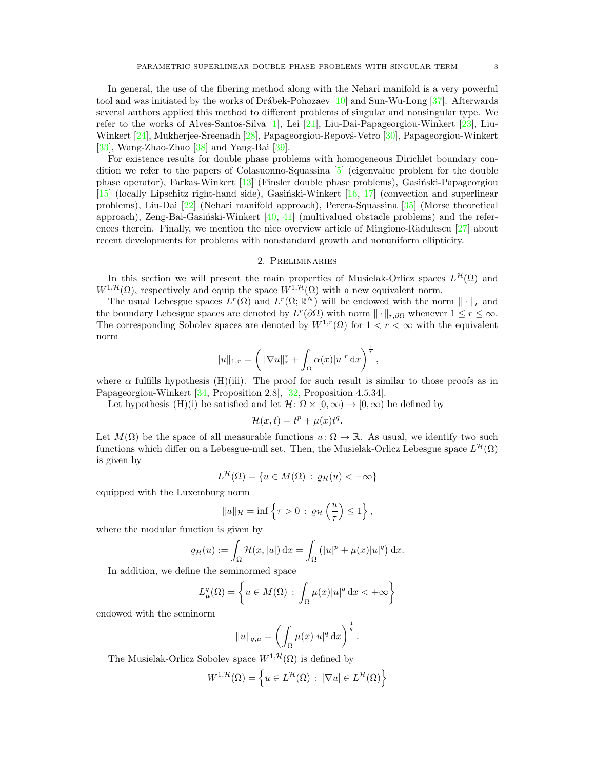In general, the use of the fibering method along with the Nehari manifold is a very powerful tool and was initiated by the works of Drábek-Pohozaev  $[10]$  and Sun-Wu-Long  $[37]$ . Afterwards several authors applied this method to different problems of singular and nonsingular type. We refer to the works of Alves-Santos-Silva [\[1\]](#page-20-8), Lei [\[21\]](#page-21-8), Liu-Dai-Papageorgiou-Winkert [\[23\]](#page-21-9), Liu-Winkert [\[24\]](#page-21-10), Mukherjee-Sreenadh [\[28\]](#page-21-11), Papageorgiou-Repovš-Vetro [\[30\]](#page-21-12), Papageorgiou-Winkert [\[33\]](#page-21-13), Wang-Zhao-Zhao [\[38\]](#page-21-14) and Yang-Bai [\[39\]](#page-21-15).

For existence results for double phase problems with homogeneous Dirichlet boundary condition we refer to the papers of Colasuonno-Squassina [\[5\]](#page-20-9) (eigenvalue problem for the double phase operator), Farkas-Winkert  $[13]$  (Finsler double phase problems), Gasiński-Papageorgiou [\[15\]](#page-20-11) (locally Lipschitz right-hand side), Gasiński-Winkert  $[16, 17]$  $[16, 17]$  $[16, 17]$  (convection and superlinear problems), Liu-Dai [\[22\]](#page-21-17) (Nehari manifold approach), Perera-Squassina [\[35\]](#page-21-18) (Morse theoretical approach), Zeng-Bai-Gasiński-Winkert  $[40, 41]$  $[40, 41]$  $[40, 41]$  (multivalued obstacle problems) and the references therein. Finally, we mention the nice overview article of Mingione-R $\ddot{\text{add}}$ ulescu [\[27\]](#page-21-21) about recent developments for problems with nonstandard growth and nonuniform ellipticity.

# 2. Preliminaries

In this section we will present the main properties of Musielak-Orlicz spaces  $L^{\mathcal{H}}(\Omega)$  and  $W^{1,\mathcal{H}}(\Omega)$ , respectively and equip the space  $W^{1,\mathcal{H}}(\Omega)$  with a new equivalent norm.

The usual Lebesgue spaces  $L^r(\Omega)$  and  $L^r(\Omega;\mathbb{R}^N)$  will be endowed with the norm  $\|\cdot\|_r$  and the boundary Lebesgue spaces are denoted by  $L^r(\partial\Omega)$  with norm  $\|\cdot\|_{r,\partial\Omega}$  whenever  $1 \leq r \leq \infty$ . The corresponding Sobolev spaces are denoted by  $W^{1,r}(\Omega)$  for  $1 < r < \infty$  with the equivalent norm

$$
||u||_{1,r} = \left(||\nabla u||_r^r + \int_{\Omega} \alpha(x)|u|^r \,dx\right)^{\frac{1}{r}},
$$

where  $\alpha$  fulfills hypothesis (H)(iii). The proof for such result is similar to those proofs as in Papageorgiou-Winkert [\[34,](#page-21-22) Proposition 2.8], [\[32,](#page-21-23) Proposition 4.5.34].

Let hypothesis (H)(i) be satisfied and let  $\mathcal{H} \colon \Omega \times [0, \infty) \to [0, \infty)$  be defined by

$$
\mathcal{H}(x,t) = t^p + \mu(x)t^q.
$$

Let  $M(\Omega)$  be the space of all measurable functions  $u: \Omega \to \mathbb{R}$ . As usual, we identify two such functions which differ on a Lebesgue-null set. Then, the Musielak-Orlicz Lebesgue space  $L^{\mathcal{H}}(\Omega)$ is given by

$$
L^{\mathcal{H}}(\Omega) = \{ u \in M(\Omega) : \varrho_{\mathcal{H}}(u) < +\infty \}
$$

equipped with the Luxemburg norm

$$
||u||_{\mathcal{H}} = \inf \left\{ \tau > 0 \, : \, \varrho_{\mathcal{H}}\left(\frac{u}{\tau}\right) \leq 1 \right\},\,
$$

where the modular function is given by

$$
\varrho_{\mathcal{H}}(u) := \int_{\Omega} \mathcal{H}(x, |u|) \, dx = \int_{\Omega} (|u|^p + \mu(x)|u|^q) \, dx.
$$

In addition, we define the seminormed space

$$
L^q_\mu(\Omega) = \left\{ u \in M(\Omega) : \int_{\Omega} \mu(x) |u|^q \, \mathrm{d}x < +\infty \right\}
$$

endowed with the seminorm

$$
||u||_{q,\mu} = \left(\int_{\Omega} \mu(x)|u|^q dx\right)^{\frac{1}{q}}.
$$

The Musielak-Orlicz Sobolev space  $W^{1, \mathcal{H}}(\Omega)$  is defined by

$$
W^{1,\mathcal{H}}(\Omega) = \left\{ u \in L^{\mathcal{H}}(\Omega) : |\nabla u| \in L^{\mathcal{H}}(\Omega) \right\}
$$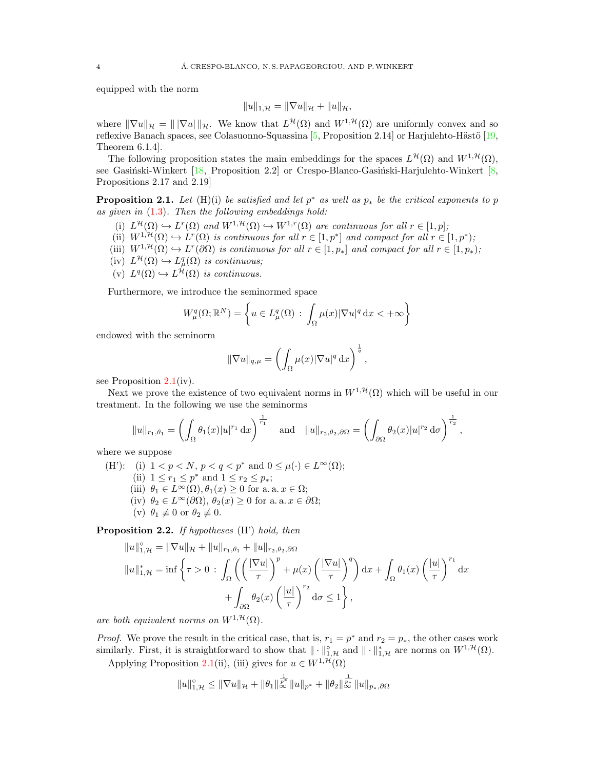equipped with the norm

$$
||u||_{1,\mathcal{H}} = ||\nabla u||_{\mathcal{H}} + ||u||_{\mathcal{H}},
$$

where  $\|\nabla u\|_{\mathcal{H}} = \| |\nabla u| \|_{\mathcal{H}}$ . We know that  $L^{\mathcal{H}}(\Omega)$  and  $W^{1,\mathcal{H}}(\Omega)$  are uniformly convex and so reflexive Banach spaces, see Colasuonno-Squassina [\[5,](#page-20-9) Proposition 2.14] or Harjulehto-Hästö [\[19,](#page-21-24) Theorem 6.1.4].

The following proposition states the main embeddings for the spaces  $L^{\mathcal{H}}(\Omega)$  and  $W^{1,\mathcal{H}}(\Omega)$ , see Gasiński-Winkert  $[18,$  Proposition 2.2] or Crespo-Blanco-Gasiński-Harjulehto-Winkert  $[8,$ Propositions 2.17 and 2.19]

<span id="page-3-0"></span>**Proposition 2.1.** Let  $(H)(i)$  be satisfied and let  $p^*$  as well as  $p_*$  be the critical exponents to p as given in  $(1.3)$ . Then the following embeddings hold:

- (i)  $L^{\mathcal{H}}(\Omega) \hookrightarrow L^{r}(\Omega)$  and  $W^{1,\mathcal{H}}(\Omega) \hookrightarrow W^{1,r}(\Omega)$  are continuous for all  $r \in [1,p]$ ;
- (ii)  $W^{1,\mathcal{H}}(\Omega) \hookrightarrow L^r(\Omega)$  is continuous for all  $r \in [1,p^*]$  and compact for all  $r \in [1,p^*);$
- (iii)  $W^{1,\mathcal{H}}(\Omega) \hookrightarrow L^r(\partial \Omega)$  is continuous for all  $r \in [1,p_*]$  and compact for all  $r \in [1,p_*)$ ;
- $(iv) L^{\mathcal{H}}(\Omega) \hookrightarrow L^q_{\mu}(\Omega)$  is continuous;
- (v)  $L^q(\Omega) \hookrightarrow L^{\mathcal{H}}(\Omega)$  is continuous.

Furthermore, we introduce the seminormed space

$$
W_{\mu}^{q}(\Omega; \mathbb{R}^{N}) = \left\{ u \in L_{\mu}^{q}(\Omega) : \int_{\Omega} \mu(x) |\nabla u|^{q} dx < +\infty \right\}
$$

endowed with the seminorm

$$
\|\nabla u\|_{q,\mu} = \left(\int_{\Omega} \mu(x)|\nabla u|^q \,\mathrm{d}x\right)^{\frac{1}{q}},
$$

see Proposition [2.1\(](#page-3-0)iv).

Next we prove the existence of two equivalent norms in  $W^{1,\mathcal{H}}(\Omega)$  which will be useful in our treatment. In the following we use the seminorms

$$
||u||_{r_1,\theta_1} = \left(\int_{\Omega} \theta_1(x)|u|^{r_1} dx\right)^{\frac{1}{r_1}} \text{ and } ||u||_{r_2,\theta_2,\partial\Omega} = \left(\int_{\partial\Omega} \theta_2(x)|u|^{r_2} d\sigma\right)^{\frac{1}{r_2}},
$$

where we suppose

(H'): (i) 
$$
1 < p < N
$$
,  $p < q < p^*$  and  $0 \le \mu(\cdot) \in L^{\infty}(\Omega)$ ;  
\n(ii)  $1 \le r_1 \le p^*$  and  $1 \le r_2 \le p_*$ ;  
\n(iii)  $\theta_1 \in L^{\infty}(\Omega), \theta_1(x) \ge 0$  for a. a.  $x \in \Omega$ ;  
\n(iv)  $\theta_2 \in L^{\infty}(\partial\Omega), \theta_2(x) \ge 0$  for a. a.  $x \in \partial\Omega$ ;  
\n(v)  $\theta_1 \not\equiv 0$  or  $\theta_2 \not\equiv 0$ .

<span id="page-3-1"></span>Proposition 2.2. If hypotheses (H') hold, then

$$
||u||_{1,\mathcal{H}}^{\circ} = ||\nabla u||_{\mathcal{H}} + ||u||_{r_1,\theta_1} + ||u||_{r_2,\theta_2,\partial\Omega}
$$
  

$$
||u||_{1,\mathcal{H}}^* = \inf \left\{ \tau > 0 \, : \, \int_{\Omega} \left( \left( \frac{|\nabla u|}{\tau} \right)^p + \mu(x) \left( \frac{|\nabla u|}{\tau} \right)^q \right) dx + \int_{\Omega} \theta_1(x) \left( \frac{|u|}{\tau} \right)^{r_1} dx \right\}
$$
  

$$
+ \int_{\partial\Omega} \theta_2(x) \left( \frac{|u|}{\tau} \right)^{r_2} d\sigma \le 1 \right\},
$$

are both equivalent norms on  $W^{1,\mathcal{H}}(\Omega)$ .

*Proof.* We prove the result in the critical case, that is,  $r_1 = p^*$  and  $r_2 = p_*$ , the other cases work similarly. First, it is straightforward to show that  $\|\cdot\|_{1,\mathcal{H}}^{\circ}$  and  $\|\cdot\|_{1,\mathcal{H}}^{*}$  are norms on  $W^{1,\mathcal{H}}(\Omega)$ .

Applying Proposition [2.1\(](#page-3-0)ii), (iii) gives for  $u \in W^{1, \mathcal{H}}(\Omega)$ 

$$
||u||_{1,\mathcal{H}}^{\circ} \leq ||\nabla u||_{\mathcal{H}} + ||\theta_1||_{\infty}^{\frac{1}{p^*}}||u||_{p^*} + ||\theta_2||_{\infty}^{\frac{1}{p^*}}||u||_{p_*,\partial\Omega}
$$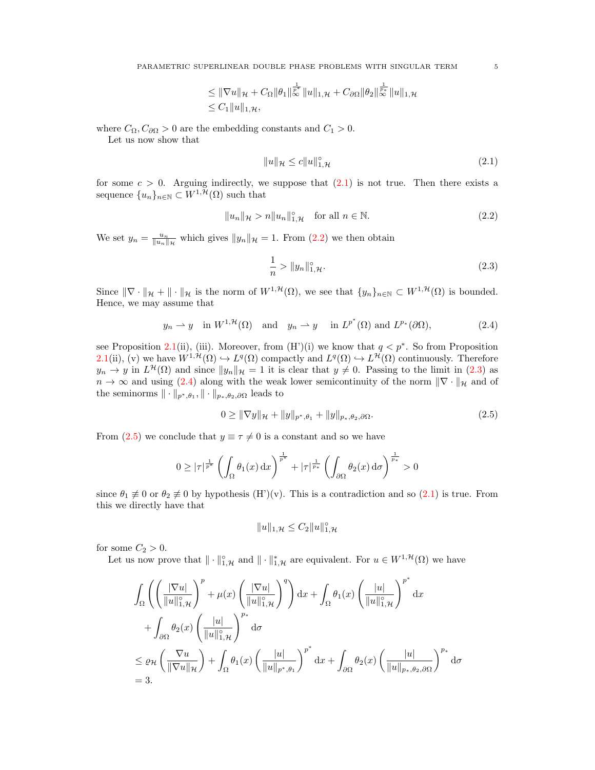PARAMETRIC SUPERLINEAR DOUBLE PHASE PROBLEMS WITH SINGULAR TERM 5

$$
\leq \|\nabla u\|_{\mathcal{H}} + C_{\Omega} \|\theta_1\|_{\infty}^{\frac{1}{p^*}} \|u\|_{1,\mathcal{H}} + C_{\partial\Omega} \|\theta_2\|_{\infty}^{\frac{1}{p^*}} \|u\|_{1,\mathcal{H}}
$$
  

$$
\leq C_1 \|u\|_{1,\mathcal{H}},
$$

where  $C_{\Omega}$ ,  $C_{\partial\Omega} > 0$  are the embedding constants and  $C_1 > 0$ .

Let us now show that

$$
||u||_{\mathcal{H}} \le c||u||_{1,\mathcal{H}}^{\circ} \tag{2.1}
$$

for some  $c > 0$ . Arguing indirectly, we suppose that  $(2.1)$  is not true. Then there exists a sequence  $\{u_n\}_{n\in\mathbb{N}}\subset W^{1,\mathcal{H}}(\Omega)$  such that

$$
||u_n||_{\mathcal{H}} > n||u_n||_{1,\mathcal{H}}^{\circ} \quad \text{for all } n \in \mathbb{N}.
$$
 (2.2)

We set  $y_n = \frac{u_n}{\|u_n\|_{\mathcal{H}}}$  which gives  $\|y_n\|_{\mathcal{H}} = 1$ . From  $(2.2)$  we then obtain

<span id="page-4-3"></span>
$$
\frac{1}{n} > \|y_n\|_{1,\mathcal{H}}^{\circ}.
$$
\n(2.3)

Since  $\|\nabla \cdot \|_{\mathcal{H}} + \| \cdot \|_{\mathcal{H}}$  is the norm of  $W^{1,\mathcal{H}}(\Omega)$ , we see that  $\{y_n\}_{n\in\mathbb{N}} \subset W^{1,\mathcal{H}}(\Omega)$  is bounded. Hence, we may assume that

$$
y_n \rightharpoonup y
$$
 in  $W^{1,\mathcal{H}}(\Omega)$  and  $y_n \rightharpoonup y$  in  $L^{p^*}(\Omega)$  and  $L^{p_*}(\partial\Omega)$ ,  $(2.4)$ 

see Proposition [2.1\(](#page-3-0)ii), (iii). Moreover, from  $(H')(i)$  we know that  $q < p^*$ . So from Proposition [2.1\(](#page-3-0)ii), (v) we have  $W^{1, H}(\Omega) \hookrightarrow L^q(\Omega)$  compactly and  $L^q(\Omega) \hookrightarrow L^{\mathcal{H}}(\Omega)$  continuously. Therefore  $y_n \to y$  in  $L^{\mathcal{H}}(\Omega)$  and since  $||y_n||_{\mathcal{H}} = 1$  it is clear that  $y \neq 0$ . Passing to the limit in [\(2.3\)](#page-4-2) as  $n \to \infty$  and using [\(2.4\)](#page-4-3) along with the weak lower semicontinuity of the norm  $\|\nabla \cdot \|_{\mathcal{H}}$  and of the seminorms  $\|\cdot\|_{p^*,\theta_1}, \|\cdot\|_{p_*,\theta_2,\partial\Omega}$  leads to

$$
0 \geq \|\nabla y\|_{\mathcal{H}} + \|y\|_{p^*, \theta_1} + \|y\|_{p_*, \theta_2, \partial\Omega}.
$$
\n(2.5)

From [\(2.5\)](#page-4-4) we conclude that  $y \equiv \tau \neq 0$  is a constant and so we have

$$
0 \ge |\tau|^{\frac{1}{p^*}} \left( \int_{\Omega} \theta_1(x) dx \right)^{\frac{1}{p^*}} + |\tau|^{\frac{1}{p_*}} \left( \int_{\partial \Omega} \theta_2(x) d\sigma \right)^{\frac{1}{p_*}} > 0
$$

since  $\theta_1 \not\equiv 0$  or  $\theta_2 \not\equiv 0$  by hypothesis (H')(v). This is a contradiction and so [\(2.1\)](#page-4-0) is true. From this we directly have that

<span id="page-4-4"></span>
$$
||u||_{1,\mathcal{H}} \leq C_2 ||u||_{1,\mathcal{H}}^{\circ}
$$

for some  $C_2 > 0$ .

Let us now prove that  $\|\cdot\|_{1,\mathcal{H}}^{\circ}$  and  $\|\cdot\|_{1,\mathcal{H}}^{*}$  are equivalent. For  $u \in W^{1,\mathcal{H}}(\Omega)$  we have

$$
\int_{\Omega} \left( \left( \frac{|\nabla u|}{\|u\|_{1,\mathcal{H}}^{\circ}} \right)^{p} + \mu(x) \left( \frac{|\nabla u|}{\|u\|_{1,\mathcal{H}}^{\circ}} \right)^{q} \right) dx + \int_{\Omega} \theta_{1}(x) \left( \frac{|u|}{\|u\|_{1,\mathcal{H}}^{\circ}} \right)^{p^{*}} dx
$$
\n
$$
+ \int_{\partial\Omega} \theta_{2}(x) \left( \frac{|u|}{\|u\|_{1,\mathcal{H}}^{\circ}} \right)^{p_{*}} d\sigma
$$
\n
$$
\leq \varrho_{\mathcal{H}} \left( \frac{\nabla u}{\|\nabla u\|_{\mathcal{H}}} \right) + \int_{\Omega} \theta_{1}(x) \left( \frac{|u|}{\|u\|_{p^{*},\theta_{1}}} \right)^{p^{*}} dx + \int_{\partial\Omega} \theta_{2}(x) \left( \frac{|u|}{\|u\|_{p^{*},\theta_{2},\partial\Omega}} \right)^{p_{*}} d\sigma
$$
\n
$$
= 3.
$$

<span id="page-4-2"></span><span id="page-4-1"></span><span id="page-4-0"></span>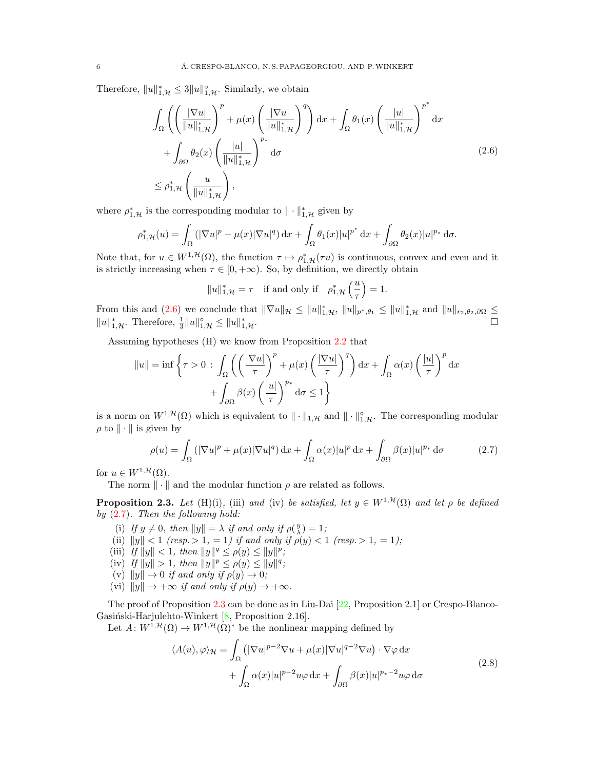Therefore,  $||u||_{1,\mathcal{H}}^* \leq 3||u||_{1,\mathcal{H}}^{\circ}$ . Similarly, we obtain

$$
\int_{\Omega} \left( \left( \frac{|\nabla u|}{\|u\|_{1,\mathcal{H}}^*} \right)^p + \mu(x) \left( \frac{|\nabla u|}{\|u\|_{1,\mathcal{H}}^*} \right)^q \right) dx + \int_{\Omega} \theta_1(x) \left( \frac{|u|}{\|u\|_{1,\mathcal{H}}^*} \right)^{p^*} dx \n+ \int_{\partial \Omega} \theta_2(x) \left( \frac{|u|}{\|u\|_{1,\mathcal{H}}^*} \right)^{p_*} d\sigma \n\leq \rho_{1,\mathcal{H}}^* \left( \frac{u}{\|u\|_{1,\mathcal{H}}^*} \right),
$$
\n(2.6)

where  $\rho_{1,\mathcal{H}}^*$  is the corresponding modular to  $\|\cdot\|_{1,\mathcal{H}}^*$  given by

$$
\rho_{1,\mathcal{H}}^*(u) = \int_{\Omega} (|\nabla u|^p + \mu(x)|\nabla u|^q) dx + \int_{\Omega} \theta_1(x)|u|^{p^*} dx + \int_{\partial\Omega} \theta_2(x)|u|^{p^*} d\sigma.
$$

Note that, for  $u \in W^{1,\mathcal{H}}(\Omega)$ , the function  $\tau \mapsto \rho_{1,\mathcal{H}}^*(\tau u)$  is continuous, convex and even and it is strictly increasing when  $\tau \in [0, +\infty)$ . So, by definition, we directly obtain

<span id="page-5-1"></span><span id="page-5-0"></span>
$$
||u||_{1,\mathcal{H}}^* = \tau
$$
 if and only if  $\rho_{1,\mathcal{H}}^* \left(\frac{u}{\tau}\right) = 1$ .

From this and [\(2.6\)](#page-5-0) we conclude that  $\|\nabla u\|_{\mathcal{H}} \leq \|u\|_{1,\mathcal{H}}^*$ ,  $\|u\|_{p^*,\theta_1} \leq \|u\|_{1,\mathcal{H}}^*$  and  $\|u\|_{r_2,\theta_2,\partial\Omega} \leq$  $||u||_{1,\mathcal{H}}^*$ . Therefore,  $\frac{1}{3}||u||_{1,\mathcal{H}}^{\circ} \le ||u||_{1}^*$  $\mathbf{1},\mathcal{H}$ .

Assuming hypotheses (H) we know from Proposition [2.2](#page-3-1) that

$$
||u|| = \inf \left\{ \tau > 0 \, : \, \int_{\Omega} \left( \left( \frac{|\nabla u|}{\tau} \right)^p + \mu(x) \left( \frac{|\nabla u|}{\tau} \right)^q \right) dx + \int_{\Omega} \alpha(x) \left( \frac{|u|}{\tau} \right)^p dx \right\}
$$

$$
+ \int_{\partial \Omega} \beta(x) \left( \frac{|u|}{\tau} \right)^{p_*} d\sigma \le 1 \right\}
$$

is a norm on  $W^{1,\mathcal{H}}(\Omega)$  which is equivalent to  $\|\cdot\|_{1,\mathcal{H}}$  and  $\|\cdot\|_{1,\mathcal{H}}^{\circ}$ . The corresponding modular  $\rho$  to  $\|\cdot\|$  is given by

$$
\rho(u) = \int_{\Omega} \left( |\nabla u|^p + \mu(x) |\nabla u|^q \right) dx + \int_{\Omega} \alpha(x) |u|^p dx + \int_{\partial \Omega} \beta(x) |u|^{p*} d\sigma \tag{2.7}
$$

for  $u \in W^{1,\mathcal{H}}(\Omega)$ .

The norm  $\|\cdot\|$  and the modular function  $\rho$  are related as follows.

<span id="page-5-2"></span>**Proposition 2.3.** Let (H)(i), (iii) and (iv) be satisfied, let  $y \in W^{1, \mathcal{H}}(\Omega)$  and let  $\rho$  be defined by  $(2.7)$ . Then the following hold:

- (i) If  $y \neq 0$ , then  $||y|| = \lambda$  if and only if  $\rho(\frac{y}{\lambda}) = 1$ ;
- (ii)  $||y|| < 1$  (resp.  $> 1, = 1$ ) if and only if  $\rho(y) < 1$  (resp.  $> 1, = 1$ );
- (iii) If  $||y|| < 1$ , then  $||y||^q \le \rho(y) \le ||y||^p$ ;
- (iv) If  $||y|| > 1$ , then  $||y||^p \le \rho(y) \le ||y||^q$ ;
- (v)  $||y|| \rightarrow 0$  if and only if  $\rho(y) \rightarrow 0$ ;
- (vi)  $||y|| \rightarrow +\infty$  if and only if  $\rho(y) \rightarrow +\infty$ .

The proof of Proposition [2.3](#page-5-2) can be done as in Liu-Dai [\[22,](#page-21-17) Proposition 2.1] or Crespo-Blanco-Gasiński-Harjulehto-Winkert  $[8,$  Proposition 2.16].

Let  $A: W^{1, \mathcal{H}}(\Omega) \to W^{1, \mathcal{H}}(\Omega)^*$  be the nonlinear mapping defined by

<span id="page-5-3"></span>
$$
\langle A(u), \varphi \rangle_{\mathcal{H}} = \int_{\Omega} \left( |\nabla u|^{p-2} \nabla u + \mu(x) |\nabla u|^{q-2} \nabla u \right) \cdot \nabla \varphi \, dx + \int_{\Omega} \alpha(x) |u|^{p-2} u \varphi \, dx + \int_{\partial \Omega} \beta(x) |u|^{p_{*}-2} u \varphi \, d\sigma
$$
\n(2.8)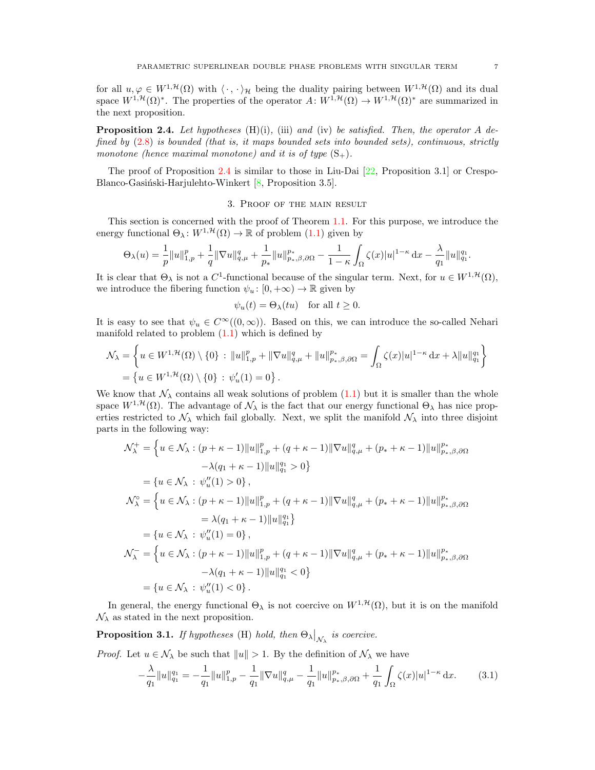for all  $u, \varphi \in W^{1,\mathcal{H}}(\Omega)$  with  $\langle \cdot, \cdot \rangle_{\mathcal{H}}$  being the duality pairing between  $W^{1,\mathcal{H}}(\Omega)$  and its dual space  $W^{1,\mathcal{H}}(\Omega)^*$ . The properties of the operator  $A: W^{1,\mathcal{H}}(\Omega) \to W^{1,\mathcal{H}}(\Omega)^*$  are summarized in the next proposition.

<span id="page-6-0"></span>**Proposition 2.4.** Let hypotheses  $(H)(i)$ , (iii) and (iv) be satisfied. Then, the operator A defined by  $(2.8)$  is bounded (that is, it maps bounded sets into bounded sets), continuous, strictly monotone (hence maximal monotone) and it is of type  $(S_+)$ .

The proof of Proposition [2.4](#page-6-0) is similar to those in Liu-Dai  $[22,$  Proposition 3.1] or Crespo-Blanco-Gasiński-Harjulehto-Winkert  $[8,$  Proposition 3.5].

# 3. Proof of the main result

This section is concerned with the proof of Theorem [1.1.](#page-1-1) For this purpose, we introduce the energy functional  $\Theta_{\lambda}: W^{1, \mathcal{H}}(\Omega) \to \mathbb{R}$  of problem  $(1.1)$  given by

$$
\Theta_\lambda(u)=\frac{1}{p}\|u\|_{1,p}^p+\frac{1}{q}\|\nabla u\|_{q,\mu}^q+\frac{1}{p_*}\|u\|_{p_*,\beta,\partial\Omega}^{p_*}-\frac{1}{1-\kappa}\int_\Omega\zeta(x)|u|^{1-\kappa}\,\mathrm{d} x-\frac{\lambda}{q_1}\|u\|_{q_1}^{q_1}.
$$

It is clear that  $\Theta_{\lambda}$  is not a C<sup>1</sup>-functional because of the singular term. Next, for  $u \in W^{1,\mathcal{H}}(\Omega)$ , we introduce the fibering function  $\psi_u : [0, +\infty) \to \mathbb{R}$  given by

$$
\psi_u(t) = \Theta_\lambda(tu)
$$
 for all  $t \ge 0$ .

It is easy to see that  $\psi_u \in C^{\infty}((0,\infty))$ . Based on this, we can introduce the so-called Nehari manifold related to problem  $(1.1)$  which is defined by

$$
\mathcal{N}_{\lambda} = \left\{ u \in W^{1, \mathcal{H}}(\Omega) \setminus \{0\} : \|u\|_{1, p}^p + \|\nabla u\|_{q, \mu}^q + \|u\|_{p_*, \beta, \partial\Omega}^{p_*} = \int_{\Omega} \zeta(x)|u|^{1-\kappa} dx + \lambda \|u\|_{q_1}^{q_1} \right\}
$$
  
=  $\left\{ u \in W^{1, \mathcal{H}}(\Omega) \setminus \{0\} : \psi'_u(1) = 0 \right\}.$ 

We know that  $\mathcal{N}_{\lambda}$  contains all weak solutions of problem [\(1.1\)](#page-0-1) but it is smaller than the whole space  $W^{1,\mathcal{H}}(\Omega)$ . The advantage of  $\mathcal{N}_{\lambda}$  is the fact that our energy functional  $\Theta_{\lambda}$  has nice properties restricted to  $\mathcal{N}_{\lambda}$  which fail globally. Next, we split the manifold  $\mathcal{N}_{\lambda}$  into three disjoint parts in the following way:

$$
\mathcal{N}_{\lambda}^{+} = \left\{ u \in \mathcal{N}_{\lambda} : (p + \kappa - 1) ||u||_{1,p}^{p} + (q + \kappa - 1) ||\nabla u||_{q,\mu}^{q} + (p_{*} + \kappa - 1) ||u||_{p_{*},\beta,\partial\Omega}^{p} - \lambda(q_{1} + \kappa - 1) ||u||_{q_{1}}^{q_{1}} > 0 \right\}
$$
  
\n
$$
= \left\{ u \in \mathcal{N}_{\lambda} : \psi_{u}''(1) > 0 \right\},
$$
  
\n
$$
\mathcal{N}_{\lambda}^{\circ} = \left\{ u \in \mathcal{N}_{\lambda} : (p + \kappa - 1) ||u||_{1,p}^{p} + (q + \kappa - 1) ||\nabla u||_{q,\mu}^{q} + (p_{*} + \kappa - 1) ||u||_{p_{*},\beta,\partial\Omega}^{p} - \lambda(q_{1} + \kappa - 1) ||u||_{q_{1}}^{q_{1}} \right\}
$$
  
\n
$$
= \left\{ u \in \mathcal{N}_{\lambda} : \psi_{u}''(1) = 0 \right\},
$$
  
\n
$$
\mathcal{N}_{\lambda}^{-} = \left\{ u \in \mathcal{N}_{\lambda} : (p + \kappa - 1) ||u||_{1,p}^{p} + (q + \kappa - 1) ||\nabla u||_{q,\mu}^{q} + (p_{*} + \kappa - 1) ||u||_{p_{*},\beta,\partial\Omega}^{p_{*}}
$$
  
\n
$$
- \lambda(q_{1} + \kappa - 1) ||u||_{q_{1}}^{q_{1}} < 0 \right\}
$$
  
\n
$$
= \left\{ u \in \mathcal{N}_{\lambda} : \psi_{u}''(1) < 0 \right\}.
$$

In general, the energy functional  $\Theta_{\lambda}$  is not coercive on  $W^{1,\mathcal{H}}(\Omega)$ , but it is on the manifold  $\mathcal{N}_{\lambda}$  as stated in the next proposition.

<span id="page-6-2"></span>**Proposition 3.1.** If hypotheses (H) hold, then  $\Theta_{\lambda}|_{\mathcal{N}_{\lambda}}$  is coercive.

*Proof.* Let  $u \in \mathcal{N}_{\lambda}$  be such that  $||u|| > 1$ . By the definition of  $\mathcal{N}_{\lambda}$  we have

<span id="page-6-1"></span>
$$
-\frac{\lambda}{q_1}||u||_{q_1}^{q_1} = -\frac{1}{q_1}||u||_{1,p}^p - \frac{1}{q_1}||\nabla u||_{q,\mu}^q - \frac{1}{q_1}||u||_{p_*,\beta,\partial\Omega}^{p_*} + \frac{1}{q_1}\int_{\Omega}\zeta(x)|u|^{1-\kappa}\,\mathrm{d}x. \tag{3.1}
$$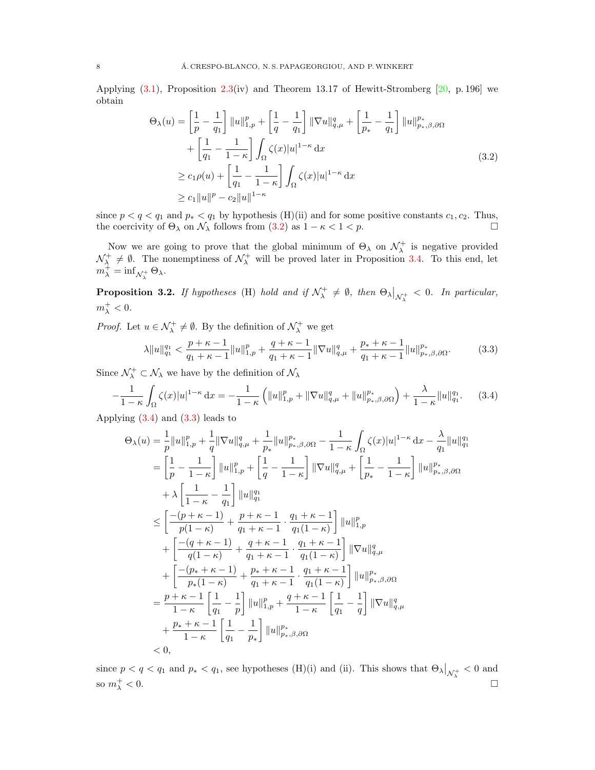Applying  $(3.1)$ , Proposition [2.3\(](#page-5-2)iv) and Theorem 13.17 of Hewitt-Stromberg  $[20, p. 196]$  $[20, p. 196]$  we obtain

<span id="page-7-0"></span>
$$
\Theta_{\lambda}(u) = \left[\frac{1}{p} - \frac{1}{q_{1}}\right] \|u\|_{1,p}^{p} + \left[\frac{1}{q} - \frac{1}{q_{1}}\right] \|\nabla u\|_{q,\mu}^{q} + \left[\frac{1}{p_{*}} - \frac{1}{q_{1}}\right] \|u\|_{p_{*},\beta,\partial\Omega}^{p_{*}}
$$

$$
+ \left[\frac{1}{q_{1}} - \frac{1}{1-\kappa}\right] \int_{\Omega} \zeta(x)|u|^{1-\kappa} dx
$$

$$
\geq c_{1}\rho(u) + \left[\frac{1}{q_{1}} - \frac{1}{1-\kappa}\right] \int_{\Omega} \zeta(x)|u|^{1-\kappa} dx
$$

$$
\geq c_{1} \|u\|^{p} - c_{2} \|u\|^{1-\kappa}
$$
(3.2)

since  $p < q < q_1$  and  $p_* < q_1$  by hypothesis (H)(ii) and for some positive constants  $c_1, c_2$ . Thus, the coercivity of  $\Theta_{\lambda}$  on  $\mathcal{N}_{\lambda}$  follows from  $(3.2)$  as  $1 - \kappa < 1 < p$ .

Now we are going to prove that the global minimum of  $\Theta_{\lambda}$  on  $\mathcal{N}_{\lambda}^{+}$  is negative provided  $\mathcal{N}_{\lambda}^+ \neq \emptyset$ . The nonemptiness of  $\mathcal{N}_{\lambda}^+$  will be proved later in Proposition [3.4.](#page-8-0) To this end, let  $m_\lambda^+ = \inf_{\mathcal{N}_\lambda^+} \Theta_\lambda.$ 

<span id="page-7-3"></span>**Proposition 3.2.** If hypotheses (H) hold and if  $\mathcal{N}^+_\lambda \neq \emptyset$ , then  $\Theta_\lambda|_{\mathcal{N}^+_\lambda} < 0$ . In particular,  $m_\lambda^+ < 0.$ 

*Proof.* Let  $u \in \mathcal{N}_{\lambda}^+ \neq \emptyset$ . By the definition of  $\mathcal{N}_{\lambda}^+$  we get

<span id="page-7-2"></span><span id="page-7-1"></span>
$$
\lambda \|u\|_{q_1}^{q_1} < \frac{p+\kappa-1}{q_1+\kappa-1} \|u\|_{1,p}^p + \frac{q+\kappa-1}{q_1+\kappa-1} \|\nabla u\|_{q,\mu}^q + \frac{p_*+\kappa-1}{q_1+\kappa-1} \|u\|_{p_*,\beta,\partial\Omega}^{p_*}.\tag{3.3}
$$

Since  $\mathcal{N}_{\lambda}^{+} \subset \mathcal{N}_{\lambda}$  we have by the definition of  $\mathcal{N}_{\lambda}$ 

$$
-\frac{1}{1-\kappa} \int_{\Omega} \zeta(x)|u|^{1-\kappa} \, \mathrm{d}x = -\frac{1}{1-\kappa} \left( \|u\|_{1,p}^p + \|\nabla u\|_{q,\mu}^q + \|u\|_{p_*,\beta,\partial\Omega}^{p_*} \right) + \frac{\lambda}{1-\kappa} \|u\|_{q_1}^{q_1}.\tag{3.4}
$$

Applying [\(3.4\)](#page-7-1) and [\(3.3\)](#page-7-2) leads to

$$
\Theta_{\lambda}(u) = \frac{1}{p} ||u||_{1,p}^{p} + \frac{1}{q} ||\nabla u||_{q,\mu}^{q} + \frac{1}{p_{*}} ||u||_{p_{*},\beta,\partial\Omega}^{p} - \frac{1}{1-\kappa} \int_{\Omega} \zeta(x) |u|^{1-\kappa} dx - \frac{\lambda}{q_{1}} ||u||_{q_{1}}^{q_{1}}
$$
\n
$$
= \left[ \frac{1}{p} - \frac{1}{1-\kappa} \right] ||u||_{1,p}^{p} + \left[ \frac{1}{q} - \frac{1}{1-\kappa} \right] ||\nabla u||_{q,\mu}^{q} + \left[ \frac{1}{p_{*}} - \frac{1}{1-\kappa} \right] ||u||_{p_{*},\beta,\partial\Omega}^{p}
$$
\n
$$
+ \lambda \left[ \frac{1}{1-\kappa} - \frac{1}{q_{1}} \right] ||u||_{q_{1}}^{q_{1}}
$$
\n
$$
\leq \left[ \frac{-(p+\kappa-1)}{p(1-\kappa)} + \frac{p+\kappa-1}{q_{1}+\kappa-1} \cdot \frac{q_{1}+\kappa-1}{q_{1}(1-\kappa)} \right] ||u||_{1,p}^{p}
$$
\n
$$
+ \left[ \frac{-(q+\kappa-1)}{q(1-\kappa)} + \frac{q+\kappa-1}{q_{1}+\kappa-1} \cdot \frac{q_{1}+\kappa-1}{q_{1}(1-\kappa)} \right] ||\nabla u||_{q,\mu}^{q}
$$
\n
$$
+ \left[ \frac{-(p_{*}+\kappa-1)}{p_{*}(1-\kappa)} + \frac{p_{*}+\kappa-1}{q_{1}+\kappa-1} \cdot \frac{q_{1}+\kappa-1}{q_{1}(1-\kappa)} \right] ||u||_{p_{*},\beta,\partial\Omega}^{p}
$$
\n
$$
= \frac{p+\kappa-1}{1-\kappa} \left[ \frac{1}{q_{1}} - \frac{1}{p} \right] ||u||_{1,p}^{p} + \frac{q+\kappa-1}{1-\kappa} \left[ \frac{1}{q_{1}} - \frac{1}{q} \right] ||\nabla u||_{q,\mu}^{q}
$$
\n
$$
+ \frac{p_{*}+\kappa-1}{1-\kappa} \left[ \frac{1}{q_{1}} - \frac{
$$

since  $p < q < q_1$  and  $p_* < q_1$ , see hypotheses (H)(i) and (ii). This shows that  $\Theta_{\lambda}|_{\mathcal{N}_{\lambda}^+} < 0$  and so  $m_{\lambda}^+ < 0$ .  $\lambda^+$  < 0.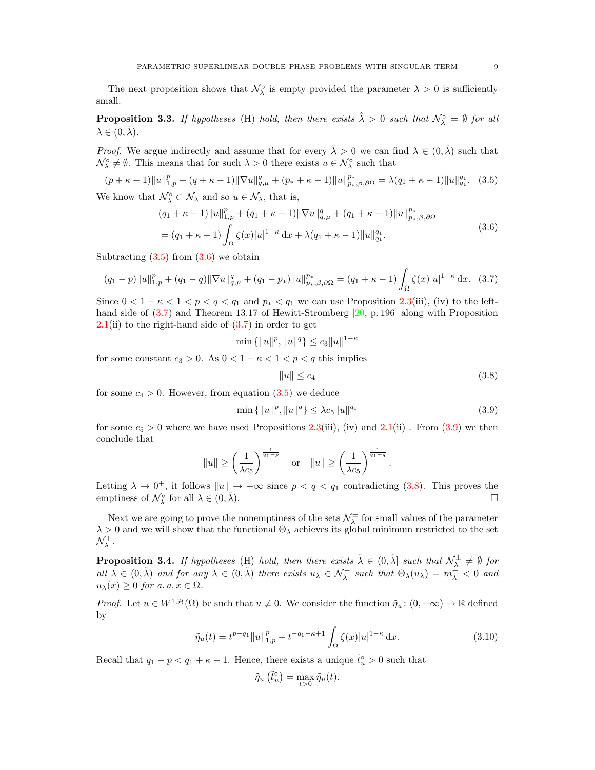The next proposition shows that  $\mathcal{N}_{\lambda}^{\circ}$  is empty provided the parameter  $\lambda > 0$  is sufficiently small.

<span id="page-8-7"></span>**Proposition 3.3.** If hypotheses (H) hold, then there exists  $\hat{\lambda} > 0$  such that  $\mathcal{N}_{\lambda}^{\circ} = \emptyset$  for all  $\lambda \in (0, \lambda)$ .

*Proof.* We argue indirectly and assume that for every  $\hat{\lambda} > 0$  we can find  $\lambda \in (0, \hat{\lambda})$  such that  $\mathcal{N}_{\lambda}^{\circ} \neq \emptyset$ . This means that for such  $\lambda > 0$  there exists  $u \in \mathcal{N}_{\lambda}^{\circ}$  such that

$$
(p + \kappa - 1) \|u\|_{1,p}^p + (q + \kappa - 1) \|\nabla u\|_{q,\mu}^q + (p_* + \kappa - 1) \|u\|_{p_*,\beta,\partial\Omega}^{p_*} = \lambda (q_1 + \kappa - 1) \|u\|_{q_1}^{q_1}.
$$
 (3.5)

We know that  $\mathcal{N}_{\lambda}^{\circ} \subset \mathcal{N}_{\lambda}$  and so  $u \in \mathcal{N}_{\lambda}$ , that is,

$$
(q_1 + \kappa - 1) \|u\|_{1,p}^p + (q_1 + \kappa - 1) \|\nabla u\|_{q,\mu}^q + (q_1 + \kappa - 1) \|u\|_{p_*,\beta,\partial\Omega}^{p_*}
$$
  
= 
$$
(q_1 + \kappa - 1) \int_{\Omega} \zeta(x) |u|^{1-\kappa} dx + \lambda (q_1 + \kappa - 1) \|u\|_{q_1}^{q_1}.
$$
 (3.6)

Subtracting  $(3.5)$  from  $(3.6)$  we obtain

$$
(q_1 - p) \|u\|_{1,p}^p + (q_1 - q) \|\nabla u\|_{q,\mu}^q + (q_1 - p_*) \|u\|_{p_*,\beta,\partial\Omega}^{p_*} = (q_1 + \kappa - 1) \int_{\Omega} \zeta(x) |u|^{1-\kappa} dx. \tag{3.7}
$$

Since  $0 < 1 - \kappa < 1 < p < q < q_1$  and  $p_* < q_1$  we can use Proposition [2.3\(](#page-5-2)iii), (iv) to the lefthand side of  $(3.7)$  and Theorem 13.17 of Hewitt-Stromberg [\[20,](#page-21-25) p. 196] along with Proposition  $2.1$ (ii) to the right-hand side of  $(3.7)$  in order to get

$$
\min\{\|u\|^p, \|u\|^q\} \le c_3 \|u\|^{1-\kappa}
$$

for some constant  $c_3 > 0$ . As  $0 < 1 - \kappa < 1 < p < q$  this implies

<span id="page-8-5"></span><span id="page-8-4"></span><span id="page-8-3"></span><span id="page-8-2"></span><span id="page-8-1"></span>
$$
||u|| \leq c_4 \tag{3.8}
$$

for some  $c_4 > 0$ . However, from equation  $(3.5)$  we deduce

$$
\min\left\{\|u\|^p, \|u\|^q\right\} \le \lambda c_5 \|u\|^{q_1} \tag{3.9}
$$

for some  $c_5 > 0$  where we have used Propositions [2.3\(](#page-5-2)iii), (iv) and [2.1\(](#page-3-0)ii). From [\(3.9\)](#page-8-4) we then conclude that

$$
||u|| \ge \left(\frac{1}{\lambda c_5}\right)^{\frac{1}{q_1-p}} \quad \text{or} \quad ||u|| \ge \left(\frac{1}{\lambda c_5}\right)^{\frac{1}{q_1-q}}.
$$

Letting  $\lambda \to 0^+$ , it follows  $||u|| \to +\infty$  since  $p < q < q_1$  contradicting [\(3.8\)](#page-8-5). This proves the emptiness of  $\mathcal{N}_{\lambda}^{\circ}$  for all  $\lambda \in (0, \hat{\lambda})$ .

Next we are going to prove the nonemptiness of the sets  $\mathcal{N}_{\lambda}^{\pm}$  for small values of the parameter  $\lambda>0$  and we will show that the functional  $\Theta_\lambda$  achieves its global minimum restricted to the set  $\mathcal{N}_{\lambda}^{+}.$ 

<span id="page-8-0"></span>**Proposition 3.4.** If hypotheses (H) hold, then there exists  $\tilde{\lambda} \in (0, \hat{\lambda}]$  such that  $\mathcal{N}_{\lambda}^{\pm} \neq \emptyset$  for all  $\lambda \in (0, \tilde{\lambda})$  and for any  $\lambda \in (0, \tilde{\lambda})$  there exists  $u_{\lambda} \in \mathcal{N}_{\lambda}^{+}$  such that  $\Theta_{\lambda}(u_{\lambda}) = m_{\lambda}^{+} < 0$  and  $u_{\lambda}(x) \geq 0$  for a. a.  $x \in \Omega$ .

*Proof.* Let  $u \in W^{1,\mathcal{H}}(\Omega)$  be such that  $u \neq 0$ . We consider the function  $\tilde{\eta}_u : (0, +\infty) \to \mathbb{R}$  defined by

$$
\tilde{\eta}_u(t) = t^{p-q_1} \|u\|_{1,p}^p - t^{-q_1 - \kappa + 1} \int_{\Omega} \zeta(x) |u|^{1-\kappa} dx.
$$
\n(3.10)

Recall that  $q_1 - p < q_1 + \kappa - 1$ . Hence, there exists a unique  $\tilde{t}_u^{\circ} > 0$  such that

<span id="page-8-6"></span>
$$
\tilde{\eta}_u\left(\tilde{t}_u^{\circ}\right) = \max_{t>0} \tilde{\eta}_u(t).
$$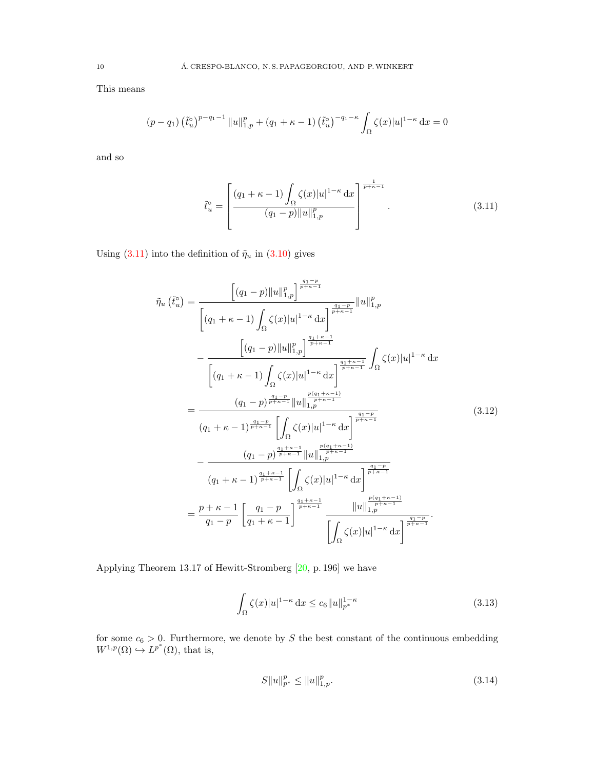This means

$$
(p - q_1) \left(\tilde{t}_u^{\circ}\right)^{p - q_1 - 1} \|u\|_{1, p}^p + (q_1 + \kappa - 1) \left(\tilde{t}_u^{\circ}\right)^{-q_1 - \kappa} \int_{\Omega} \zeta(x) |u|^{1 - \kappa} dx = 0
$$

and so

<span id="page-9-0"></span>
$$
\tilde{t}_u^\circ = \left[ \frac{(q_1 + \kappa - 1) \int_{\Omega} \zeta(x) |u|^{1-\kappa} dx}{(q_1 - p) ||u||_{1,p}^p} \right]^{\frac{1}{p+\kappa-1}}.
$$
\n(3.11)

Using [\(3.11\)](#page-9-0) into the definition of  $\tilde{\eta}_u$  in [\(3.10\)](#page-8-6) gives

$$
\tilde{\eta}_{u}(\tilde{t}_{u}^{c}) = \frac{\left[(q_{1}-p)\|u\|_{1,p}^{p}\right]^{\frac{q_{1}-p}{p+\kappa-1}}}{\left[(q_{1}+\kappa-1)\int_{\Omega}\zeta(x)|u|^{1-\kappa}\,\mathrm{d}x\right]^{\frac{q_{1}+p}{p+\kappa-1}}}
$$
\n
$$
-\frac{\left[(q_{1}-p)\|u\|_{1,p}^{p}\right]^{\frac{q_{1}+\kappa-1}{p+\kappa-1}}}{\left[(q_{1}+\kappa-1)\int_{\Omega}\zeta(x)|u|^{1-\kappa}\,\mathrm{d}x\right]^{\frac{q_{1}+\kappa-1}{p+\kappa-1}}}\int_{\Omega}\zeta(x)|u|^{1-\kappa}\,\mathrm{d}x
$$
\n
$$
=\frac{\left(q_{1}-p\right)^{\frac{q_{1}-p}{p+\kappa-1}}\|u\|_{1,p}^{\frac{p(q_{1}+\kappa-1)}{p+\kappa-1}}}{\left(q_{1}+\kappa-1\right)^{\frac{q_{1}-p}{p+\kappa-1}}\left[\int_{\Omega}\zeta(x)|u|^{1-\kappa}\,\mathrm{d}x\right]^{\frac{q_{1}-p}{p+\kappa-1}}}
$$
\n
$$
-\frac{\left(q_{1}-p\right)^{\frac{q_{1}+\kappa-1}{p+\kappa-1}}\left[\int_{\Omega}\zeta(x)|u|^{1-\kappa}\,\mathrm{d}x\right]^{\frac{q_{1}-p}{p+\kappa-1}}}{\left(q_{1}+\kappa-1\right)^{\frac{q_{1}+\kappa-1}{p+\kappa-1}}\left[\int_{\Omega}\zeta(x)|u|^{1-\kappa}\,\mathrm{d}x\right]^{\frac{q_{1}-p}{p+\kappa-1}}}
$$
\n
$$
=\frac{p+\kappa-1}{q_{1}-p}\left[\frac{q_{1}-p}{q_{1}+\kappa-1}\right]^{\frac{q_{1}+\kappa-1}{p+\kappa-1}}\frac{\|u\|_{1,p}^{\frac{p(q_{1}+\kappa-1)}{p+\kappa-1}}}{\left[\int_{\Omega}\zeta(x)|u|^{1-\kappa}\,\mathrm{d}x\right]^{\frac{q_{1}-p}{p+\kappa-1}}}.
$$
\n(A.13.12)

Applying Theorem 13.17 of Hewitt-Stromberg [\[20,](#page-21-25) p. 196] we have

<span id="page-9-1"></span>
$$
\int_{\Omega} \zeta(x)|u|^{1-\kappa} \, \mathrm{d}x \le c_6 \|u\|_{p^*}^{1-\kappa} \tag{3.13}
$$

for some  $c_6 > 0$ . Furthermore, we denote by S the best constant of the continuous embedding  $W^{1,p}(\Omega) \hookrightarrow L^{p^*}(\Omega)$ , that is,

<span id="page-9-3"></span><span id="page-9-2"></span>
$$
S\|u\|_{p^*}^p \le \|u\|_{1,p}^p. \tag{3.14}
$$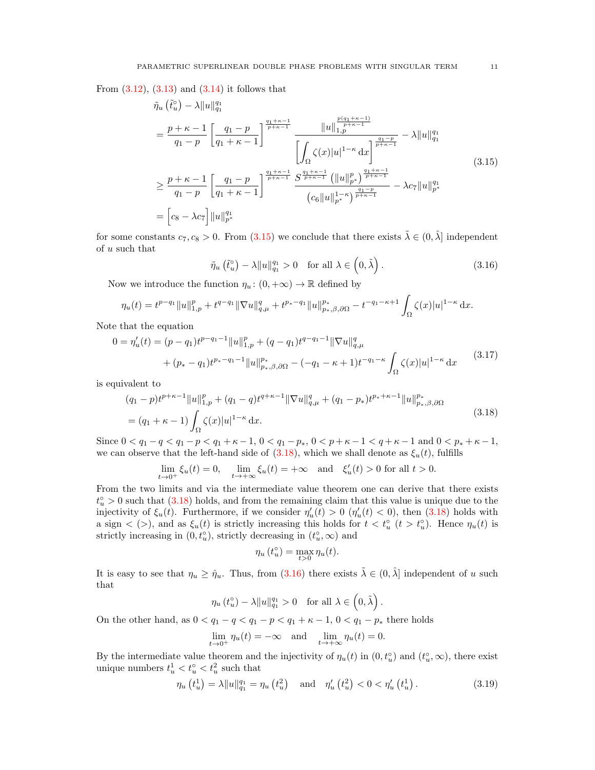From  $(3.12)$ ,  $(3.13)$  and  $(3.14)$  it follows that

$$
\tilde{\eta}_{u} \left( \tilde{t}_{u}^{o} \right) - \lambda \| u \|_{q_{1}}^{q_{1}} \n= \frac{p + \kappa - 1}{q_{1} - p} \left[ \frac{q_{1} - p}{q_{1} + \kappa - 1} \right]^{\frac{q_{1} + \kappa - 1}{p + \kappa - 1}} \frac{\| u \|_{1, p}^{\frac{p(q_{1} + \kappa - 1)}{p + \kappa - 1}}}{\left| \int_{\Omega} \zeta(x) |u|^{1 - \kappa} dx \right]^{\frac{q_{1} - p}{p + \kappa - 1}} - \lambda \| u \|_{q_{1}}^{q_{1}} \n\geq \frac{p + \kappa - 1}{q_{1} - p} \left[ \frac{q_{1} - p}{q_{1} + \kappa - 1} \right]^{\frac{q_{1} + \kappa - 1}{p + \kappa - 1}} \frac{S^{\frac{q_{1} + \kappa - 1}{p + \kappa - 1}}}{\left| \int_{\Omega} \left( \frac{q_{1} | u|_{p}^{p}}{\| u \|_{p}^{p}} \right)^{\frac{q_{1} + \kappa - 1}{p + \kappa - 1}} - \lambda c_{7} \| u \|_{p}^{q_{1}}}{\left| c_{6} \| u \|_{p}^{\frac{1 - \kappa}{p}} \right|^{\frac{q_{1} - p}{p + \kappa - 1}}} - \lambda c_{7} \| u \|_{p}^{q_{1}} \tag{3.15}
$$

for some constants  $c_7, c_8 > 0$ . From [\(3.15\)](#page-10-0) we conclude that there exists  $\tilde{\lambda} \in (0, \hat{\lambda})$  independent of u such that

<span id="page-10-2"></span><span id="page-10-0"></span>
$$
\tilde{\eta}_u\left(\tilde{t}_u^{\circ}\right) - \lambda \|u\|_{q_1}^{q_1} > 0 \quad \text{for all } \lambda \in \left(0, \tilde{\lambda}\right). \tag{3.16}
$$

Now we introduce the function  $\eta_u: (0, +\infty) \to \mathbb{R}$  defined by

$$
\eta_u(t) = t^{p-q_1} \|u\|_{1,p}^p + t^{q-q_1} \|\nabla u\|_{q,\mu}^q + t^{p_*-q_1} \|u\|_{p_*,\beta,\partial\Omega}^{p_*} - t^{-q_1-\kappa+1} \int_{\Omega} \zeta(x) |u|^{1-\kappa} dx.
$$

Note that the equation

$$
0 = \eta'_u(t) = (p - q_1)t^{p - q_1 - 1} ||u||_{1,p}^p + (q - q_1)t^{q - q_1 - 1} ||\nabla u||_{q,\mu}^q
$$
  
+ 
$$
(p_* - q_1)t^{p_* - q_1 - 1} ||u||_{p_*,\beta,\partial\Omega}^{p_*} - (-q_1 - \kappa + 1)t^{-q_1 - \kappa} \int_{\Omega} \zeta(x) |u|^{1 - \kappa} dx
$$
(3.17)

is equivalent to

$$
(q_1 - p)t^{p+\kappa-1}||u||_{1,p}^p + (q_1 - q)t^{q+\kappa-1}||\nabla u||_{q,\mu}^q + (q_1 - p_*)t^{p_*+\kappa-1}||u||_{p_*,\beta,\partial\Omega}^{p_*}
$$
  
=  $(q_1 + \kappa - 1)\int_{\Omega} \zeta(x)|u|^{1-\kappa} dx.$  (3.18)

Since  $0 < q_1 - q < q_1 - p < q_1 + \kappa - 1$ ,  $0 < q_1 - p_*$ ,  $0 < p + \kappa - 1 < q + \kappa - 1$  and  $0 < p_* + \kappa - 1$ , we can observe that the left-hand side of [\(3.18\)](#page-10-1), which we shall denote as  $\xi_u(t)$ , fulfills

$$
\lim_{t \to 0^+} \xi_u(t) = 0, \quad \lim_{t \to +\infty} \xi_u(t) = +\infty \quad \text{and} \quad \xi'_u(t) > 0 \text{ for all } t > 0.
$$

From the two limits and via the intermediate value theorem one can derive that there exists  $t_u^{\circ} > 0$  such that  $(3.18)$  holds, and from the remaining claim that this value is unique due to the injectivity of  $\xi_u(t)$ . Furthermore, if we consider  $\eta'_u(t) > 0$  ( $\eta'_u(t) < 0$ ), then [\(3.18\)](#page-10-1) holds with a sign  $\langle \rangle$ , and as  $\xi_u(t)$  is strictly increasing this holds for  $t < t_u^{\circ}$  ( $t > t_u^{\circ}$ ). Hence  $\eta_u(t)$  is strictly increasing in  $(0, t_u^{\circ})$ , strictly decreasing in  $(t_u^{\circ}, \infty)$  and

$$
\eta_u(t_u^\circ) = \max_{t>0} \eta_u(t).
$$

It is easy to see that  $\eta_u \geq \hat{\eta}_u$ . Thus, from [\(3.16\)](#page-10-2) there exists  $\tilde{\lambda} \in (0, \hat{\lambda}]$  independent of u such that

$$
\eta_u(t_u^{\circ}) - \lambda \|u\|_{q_1}^{q_1} > 0 \quad \text{for all } \lambda \in \left(0, \tilde{\lambda}\right)
$$

On the other hand, as  $0 < q_1 - q < q_1 - p < q_1 + \kappa - 1,$   $0 < q_1 - p_*$  there holds

$$
\lim_{t \to 0^+} \eta_u(t) = -\infty \quad \text{and} \quad \lim_{t \to +\infty} \eta_u(t) = 0.
$$

By the intermediate value theorem and the injectivity of  $\eta_u(t)$  in  $(0, t_u^{\circ})$  and  $(t_u^{\circ}, \infty)$ , there exist unique numbers  $t_u^1 < t_u^0 < t_u^2$  such that

<span id="page-10-3"></span>
$$
\eta_u(t_u^1) = \lambda \|u\|_{q_1}^{q_1} = \eta_u(t_u^2) \quad \text{and} \quad \eta_u'(t_u^2) < 0 < \eta_u'(t_u^1) \,. \tag{3.19}
$$

<span id="page-10-4"></span><span id="page-10-1"></span>.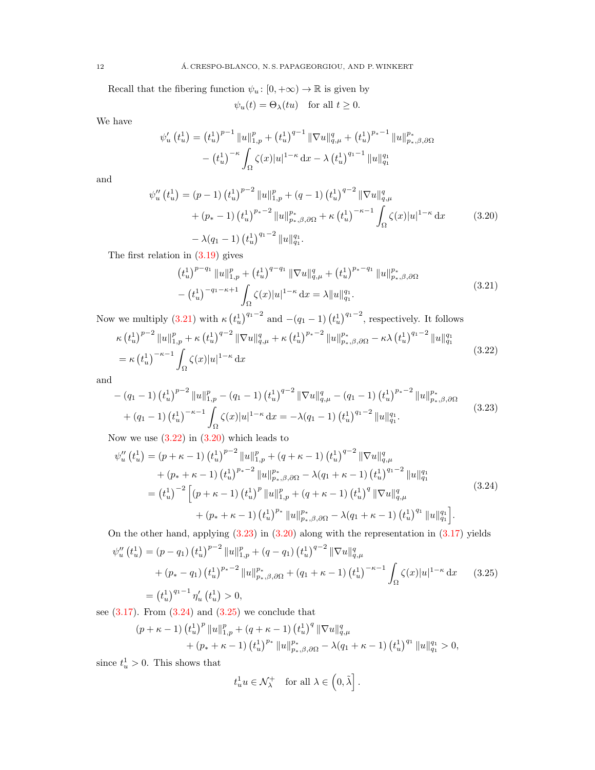Recall that the fibering function  $\psi_u\colon [0,+\infty)\to\mathbb{R}$  is given by

<span id="page-11-2"></span>
$$
\psi_u(t) = \Theta_\lambda(tu)
$$
 for all  $t \ge 0$ .

We have

$$
\psi_u'(t_u^1) = (t_u^1)^{p-1} \|u\|_{1,p}^p + (t_u^1)^{q-1} \|\nabla u\|_{q,\mu}^q + (t_u^1)^{p_*-1} \|u\|_{p_*,\beta,\partial\Omega}^{p_*}
$$

$$
- (t_u^1)^{-\kappa} \int_{\Omega} \zeta(x)|u|^{1-\kappa} dx - \lambda (t_u^1)^{q_1-1} \|u\|_{q_1}^{q_1}
$$

and

$$
\psi_{u}''(t_{u}^{1}) = (p-1) (t_{u}^{1})^{p-2} \|u\|_{1,p}^{p} + (q-1) (t_{u}^{1})^{q-2} \|\nabla u\|_{q,\mu}^{q}
$$

$$
+ (p_{*}-1) (t_{u}^{1})^{p_{*}-2} \|u\|_{p_{*},\beta,\partial\Omega}^{p_{*}} + \kappa (t_{u}^{1})^{-\kappa-1} \int_{\Omega} \zeta(x) |u|^{1-\kappa} dx \qquad (3.20)
$$

$$
- \lambda(q_{1}-1) (t_{u}^{1})^{q_{1}-2} \|u\|_{q_{1}}^{q_{1}}.
$$

The first relation in  $(3.19)$  gives

<span id="page-11-3"></span><span id="page-11-1"></span><span id="page-11-0"></span>
$$
(t_u^1)^{p-q_1} \|u\|_{1,p}^p + (t_u^1)^{q-q_1} \|\nabla u\|_{q,\mu}^q + (t_u^1)^{p_*-q_1} \|u\|_{p_*,\beta,\partial\Omega}^{p_*}
$$

$$
- (t_u^1)^{-q_1-\kappa+1} \int_{\Omega} \zeta(x)|u|^{1-\kappa} dx = \lambda \|u\|_{q_1}^{q_1}.
$$
 (3.21)

Now we multiply [\(3.21\)](#page-11-0) with  $\kappa \left(t_u^1\right)^{q_1-2}$  and  $-(q_1-1)\left(t_u^1\right)^{q_1-2}$ , respectively. It follows

$$
\kappa \left(t_u^1\right)^{p-2} \|u\|_{1,p}^p + \kappa \left(t_u^1\right)^{q-2} \|\nabla u\|_{q,\mu}^q + \kappa \left(t_u^1\right)^{p_*-2} \|u\|_{p_*,\beta,\partial\Omega}^{p_*} - \kappa \lambda \left(t_u^1\right)^{q_1-2} \|u\|_{q_1}^{q_1}
$$
  
=  $\kappa \left(t_u^1\right)^{-\kappa-1} \int_{\Omega} \zeta(x) |u|^{1-\kappa} dx$  (3.22)

and

$$
-(q_1 - 1) (t_u^1)^{p-2} ||u||_{1,p}^p - (q_1 - 1) (t_u^1)^{q-2} ||\nabla u||_{q,\mu}^q - (q_1 - 1) (t_u^1)^{p_*-2} ||u||_{p_*,\beta,\partial\Omega}^{p_*}
$$
  
+
$$
(q_1 - 1) (t_u^1)^{-\kappa-1} \int_{\Omega} \zeta(x) |u|^{1-\kappa} dx = -\lambda (q_1 - 1) (t_u^1)^{q_1-2} ||u||_{q_1}^{q_1}.
$$
 (3.23)

Now we use  $(3.22)$  in  $(3.20)$  which leads to

$$
\psi_{u}''(t_{u}^{1}) = (p + \kappa - 1) (t_{u}^{1})^{p-2} \|u\|_{1,p}^{p} + (q + \kappa - 1) (t_{u}^{1})^{q-2} \|\nabla u\|_{q,\mu}^{q}
$$
  
+ 
$$
(p_{*} + \kappa - 1) (t_{u}^{1})^{p_{*}-2} \|u\|_{p_{*},\beta,\partial\Omega}^{p_{*}} - \lambda(q_{1} + \kappa - 1) (t_{u}^{1})^{q_{1}-2} \|u\|_{q_{1}}^{q_{1}}
$$
  
= 
$$
(t_{u}^{1})^{-2} \left[ (p + \kappa - 1) (t_{u}^{1})^{p} \|u\|_{1,p}^{p} + (q + \kappa - 1) (t_{u}^{1})^{q} \|\nabla u\|_{q,\mu}^{q}
$$
  
+ 
$$
(p_{*} + \kappa - 1) (t_{u}^{1})^{p_{*}} \|u\|_{p_{*},\beta,\partial\Omega}^{p_{*}} - \lambda(q_{1} + \kappa - 1) (t_{u}^{1})^{q_{1}} \|u\|_{q_{1}}^{q_{1}} \right].
$$
  
(3.24)

On the other hand, applying [\(3.23\)](#page-11-3) in [\(3.20\)](#page-11-2) along with the representation in [\(3.17\)](#page-10-4) yields

<span id="page-11-5"></span>
$$
\psi_{u}''(t_{u}^{1}) = (p - q_{1}) (t_{u}^{1})^{p-2} \|u\|_{1,p}^{p} + (q - q_{1}) (t_{u}^{1})^{q-2} \|\nabla u\|_{q,\mu}^{q}
$$

$$
+ (p_{*} - q_{1}) (t_{u}^{1})^{p_{*}-2} \|u\|_{p_{*},\beta,\partial\Omega}^{p_{*}} + (q_{1} + \kappa - 1) (t_{u}^{1})^{-\kappa - 1} \int_{\Omega} \zeta(x) |u|^{1-\kappa} dx \qquad (3.25)
$$

$$
= (t_{u}^{1})^{q_{1}-1} \eta_{u}'(t_{u}^{1}) > 0,
$$

see  $(3.17)$ . From  $(3.24)$  and  $(3.25)$  we conclude that

$$
(p + \kappa - 1) (t_u^1)^p ||u||_{1,p}^p + (q + \kappa - 1) (t_u^1)^q ||\nabla u||_{q,\mu}^q + (p_* + \kappa - 1) (t_u^1)^{p_*} ||u||_{p_*,\beta,\partial\Omega}^{p_*} - \lambda(q_1 + \kappa - 1) (t_u^1)^{q_1} ||u||_{q_1}^{q_1} > 0,
$$

since  $t_u^1 > 0$ . This shows that

<span id="page-11-4"></span>
$$
t_u^1 u \in \mathcal{N}^+_{\lambda} \quad \text{for all } \lambda \in \left(0, \tilde{\lambda}\right].
$$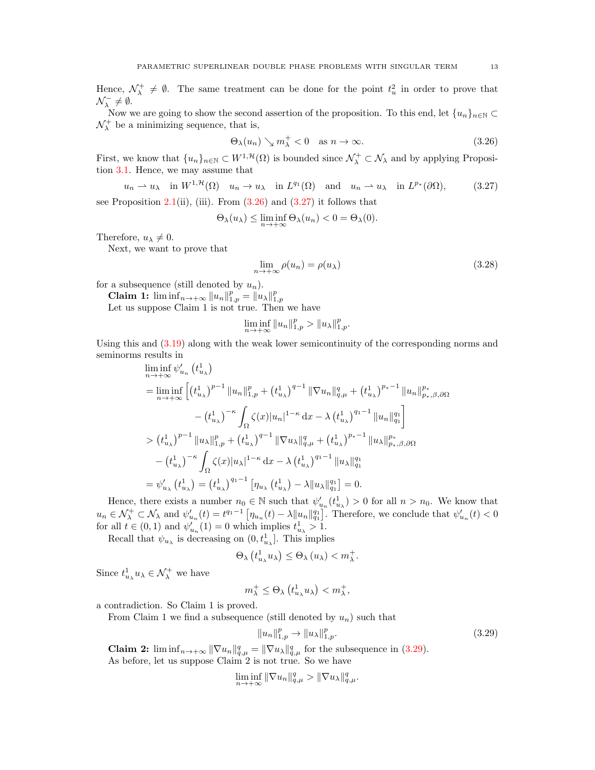Hence,  $\mathcal{N}_{\lambda}^{+} \neq \emptyset$ . The same treatment can be done for the point  $t_{u}^{2}$  in order to prove that  $\mathcal{N}_{\lambda}^{-} \neq \emptyset.$ 

Now we are going to show the second assertion of the proposition. To this end, let  $\{u_n\}_{n\in\mathbb{N}}\subset$  $\mathcal{N}_{\lambda}^{+}$  be a minimizing sequence, that is,

<span id="page-12-0"></span>
$$
\Theta_{\lambda}(u_n) \searrow m_{\lambda}^+ < 0 \quad \text{as } n \to \infty. \tag{3.26}
$$

First, we know that  $\{u_n\}_{n\in\mathbb{N}}\subset W^{1,\mathcal{H}}(\Omega)$  is bounded since  $\mathcal{N}^+_\lambda\subset\mathcal{N}_\lambda$  and by applying Proposition [3.1.](#page-6-2) Hence, we may assume that

$$
u_n \rightharpoonup u_\lambda \quad \text{in } W^{1, \mathcal{H}}(\Omega) \quad u_n \to u_\lambda \quad \text{in } L^{q_1}(\Omega) \quad \text{and} \quad u_n \rightharpoonup u_\lambda \quad \text{in } L^{p_*}(\partial \Omega), \tag{3.27}
$$

see Proposition [2.1\(](#page-3-0)ii), (iii). From  $(3.26)$  and  $(3.27)$  it follows that

$$
\Theta_{\lambda}(u_{\lambda}) \leq \liminf_{n \to +\infty} \Theta_{\lambda}(u_{n}) < 0 = \Theta_{\lambda}(0).
$$

Therefore,  $u_{\lambda} \neq 0$ .

Next, we want to prove that

<span id="page-12-3"></span><span id="page-12-1"></span>
$$
\lim_{n \to +\infty} \rho(u_n) = \rho(u_\lambda) \tag{3.28}
$$

for a subsequence (still denoted by  $u_n$ ).

**Claim 1:**  $\liminf_{n \to +\infty} \|u_n\|_{1,p}^p = \|u_\lambda\|_{1,p}^p$ <br>Let us suppose Claim 1 is not true. Then we have

$$
\liminf_{n \to +\infty} \|u_n\|_{1,p}^p > \|u_\lambda\|_{1,p}^p.
$$

Using this and [\(3.19\)](#page-10-3) along with the weak lower semicontinuity of the corresponding norms and seminorms results in

$$
\liminf_{n \to +\infty} \psi'_{u_n} (t_{u_\lambda}^1)
$$
\n
$$
= \liminf_{n \to +\infty} \left[ (t_{u_\lambda}^1)^{p-1} \|u_n\|_{1,p}^p + (t_{u_\lambda}^1)^{q-1} \|\nabla u_n\|_{q,\mu}^q + (t_{u_\lambda}^1)^{p_*-1} \|u_n\|_{p_*,\beta,\partial\Omega}^{p_*}
$$
\n
$$
- (t_{u_\lambda}^1)^{-\kappa} \int_{\Omega} \zeta(x) |u_n|^{1-\kappa} dx - \lambda (t_{u_\lambda}^1)^{q_1-1} \|u_n\|_{q_1}^{q_1} \right]
$$
\n
$$
> (t_{u_\lambda}^1)^{p-1} \|u_\lambda\|_{1,p}^p + (t_{u_\lambda}^1)^{q-1} \|\nabla u_\lambda\|_{q,\mu}^q + (t_{u_\lambda}^1)^{p_*-1} \|u_\lambda\|_{p_*,\beta,\partial\Omega}^{p_*}
$$
\n
$$
- (t_{u_\lambda}^1)^{-\kappa} \int_{\Omega} \zeta(x) |u_\lambda|^{1-\kappa} dx - \lambda (t_{u_\lambda}^1)^{q_1-1} \|u_\lambda\|_{q_1}^{q_1}
$$
\n
$$
= \psi'_{u_\lambda} (t_{u_\lambda}^1) = (t_{u_\lambda}^1)^{q_1-1} [n_{u_\lambda} (t_{u_\lambda}^1) - \lambda \|u_\lambda\|_{q_1}^{q_1}] = 0.
$$

Hence, there exists a number  $n_0 \in \mathbb{N}$  such that  $\psi'_{u_n}(t^1_{u_\lambda}) > 0$  for all  $n > n_0$ . We know that  $u_n \in \mathcal{N}^+_{\lambda} \subset \mathcal{N}_{\lambda}$  and  $\psi'_{u_n}(t) = t^{q_1-1} \left[ \eta_{u_n}(t) - \lambda \|u_n\|_{q_1}^{q_1} \right]$ . Therefore, we conclude that  $\psi'_{u_n}(t) < 0$ for all  $t \in (0,1)$  and  $\psi'_{u_n}(1) = 0$  which implies  $t^1_{u_\lambda} > 1$ .

Recall that  $\psi_{u_\lambda}$  is decreasing on  $(0, t^1_{u_\lambda}]$ . This implies

$$
\Theta_{\lambda}\left(t_{u_{\lambda}}^{1}u_{\lambda}\right) \leq \Theta_{\lambda}\left(u_{\lambda}\right) < m_{\lambda}^{+}.
$$

Since  $t_{u_{\lambda}}^1 u_{\lambda} \in \mathcal{N}_{\lambda}^+$  we have

$$
m_{\lambda}^+ \leq \Theta_{\lambda} \left( t_{u_{\lambda}}^1 u_{\lambda} \right) < m_{\lambda}^+,
$$

a contradiction. So Claim 1 is proved.

From Claim 1 we find a subsequence (still denoted by  $u_n$ ) such that

<span id="page-12-2"></span>
$$
||u_n||_{1,p}^p \to ||u_\lambda||_{1,p}^p. \tag{3.29}
$$

**Claim 2:**  $\liminf_{n\to+\infty} \|\nabla u_n\|_{q,\mu}^q = \|\nabla u_\lambda\|_{q,\mu}^q$  for the subsequence in [\(3.29\)](#page-12-2). As before, let us suppose Claim 2 is not true. So we have

$$
\liminf_{n\to+\infty} \|\nabla u_n\|_{q,\mu}^q > \|\nabla u_\lambda\|_{q,\mu}^q.
$$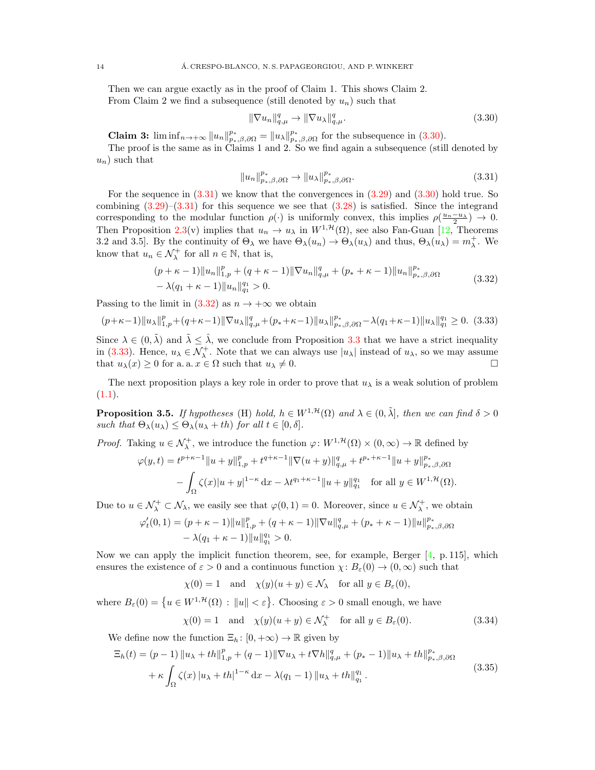Then we can argue exactly as in the proof of Claim 1. This shows Claim 2. From Claim 2 we find a subsequence (still denoted by  $u_n$ ) such that

<span id="page-13-1"></span><span id="page-13-0"></span>
$$
\|\nabla u_n\|_{q,\mu}^q \to \|\nabla u_\lambda\|_{q,\mu}^q. \tag{3.30}
$$

**Claim 3:**  $\liminf_{n\to+\infty} ||u_n||_{p_*,\beta,\partial\Omega}^{p_*} = ||u_\lambda||_{p_*,\beta,\partial\Omega}^{p_*}$  for the subsequence in [\(3.30\)](#page-13-0).

The proof is the same as in Claims 1 and 2. So we find again a subsequence (still denoted by  $u_n$ ) such that

<span id="page-13-2"></span>
$$
||u_n||_{p_{\ast},\beta,\partial\Omega}^{p_{\ast}} \to ||u_{\lambda}||_{p_{\ast},\beta,\partial\Omega}^{p_{\ast}}.
$$
\n(3.31)

For the sequence in  $(3.31)$  we know that the convergences in  $(3.29)$  and  $(3.30)$  hold true. So combining  $(3.29)-(3.31)$  $(3.29)-(3.31)$  $(3.29)-(3.31)$  for this sequence we see that  $(3.28)$  is satisfied. Since the integrand corresponding to the modular function  $\rho(\cdot)$  is uniformly convex, this implies  $\rho(\frac{u_n-u_\lambda}{2}) \to 0$ . Then Proposition [2.3\(](#page-5-2)v) implies that  $u_n \to u_\lambda$  in  $W^{1,\mathcal{H}}(\Omega)$ , see also Fan-Guan [\[12,](#page-20-14) Theorems 3.2 and 3.5]. By the continuity of  $\Theta_{\lambda}$  we have  $\Theta_{\lambda}(u_n) \to \Theta_{\lambda}(u_{\lambda})$  and thus,  $\Theta_{\lambda}(u_{\lambda}) = m_{\lambda}^+$ . We know that  $u_n \in \mathcal{N}^+_\lambda$  for all  $n \in \mathbb{N}$ , that is,

$$
(p + \kappa - 1) ||u_n||_{1,p}^p + (q + \kappa - 1) ||\nabla u_n||_{q,\mu}^q + (p_* + \kappa - 1) ||u_n||_{p_*,\beta,\partial\Omega}^{p_*}
$$
  
-  $\lambda(q_1 + \kappa - 1) ||u_n||_{q_1}^{q_1} > 0.$  (3.32)

Passing to the limit in [\(3.32\)](#page-13-2) as  $n \to +\infty$  we obtain

<span id="page-13-3"></span>
$$
(p+\kappa-1)\|u_{\lambda}\|_{1,p}^p + (q+\kappa-1)\|\nabla u_{\lambda}\|_{q,\mu}^q + (p_*+\kappa-1)\|u_{\lambda}\|_{p_*,\beta,\partial\Omega}^{p_*} - \lambda(q_1+\kappa-1)\|u_{\lambda}\|_{q_1}^{q_1} \ge 0. \tag{3.33}
$$

Since  $\lambda \in (0, \lambda)$  and  $\lambda \leq \lambda$ , we conclude from Proposition [3.3](#page-8-7) that we have a strict inequality in [\(3.33\)](#page-13-3). Hence,  $u_\lambda \in \mathcal{N}^+_\lambda$ . Note that we can always use  $|u_\lambda|$  instead of  $u_\lambda$ , so we may assume that  $u_\lambda(x) \geq 0$  for a. a.  $x \in \Omega$  such that  $u_\lambda \neq 0$ .

The next proposition plays a key role in order to prove that  $u_\lambda$  is a weak solution of problem  $(1.1).$  $(1.1).$ 

<span id="page-13-6"></span>**Proposition 3.5.** If hypotheses (H) hold,  $h \in W^{1, \mathcal{H}}(\Omega)$  and  $\lambda \in (0, \tilde{\lambda}]$ , then we can find  $\delta > 0$ such that  $\Theta_{\lambda}(u_{\lambda}) \leq \Theta_{\lambda}(u_{\lambda} + th)$  for all  $t \in [0, \delta]$ .

*Proof.* Taking  $u \in \mathcal{N}_{\lambda}^+$ , we introduce the function  $\varphi: W^{1,\mathcal{H}}(\Omega) \times (0,\infty) \to \mathbb{R}$  defined by

$$
\varphi(y,t) = t^{p+\kappa-1} \|u+y\|_{1,p}^p + t^{q+\kappa-1} \|\nabla(u+y)\|_{q,\mu}^q + t^{p_*+\kappa-1} \|u+y\|_{p_*,\beta,\partial\Omega}^{p_*}
$$

$$
- \int_{\Omega} \zeta(x) |u+y|^{1-\kappa} dx - \lambda t^{q_1+\kappa-1} \|u+y\|_{q_1}^{q_1} \quad \text{for all } y \in W^{1,\mathcal{H}}(\Omega).
$$

Due to  $u \in \mathcal{N}_{\lambda}^+ \subset \mathcal{N}_{\lambda}$ , we easily see that  $\varphi(0,1) = 0$ . Moreover, since  $u \in \mathcal{N}_{\lambda}^+$ , we obtain

$$
\begin{aligned} \varphi_t'(0,1) & = (p+\kappa-1)\|u\|_{1,p}^p + (q+\kappa-1)\|\nabla u\|_{q,\mu}^q + (p_*+\kappa-1)\|u\|_{p_*,\beta,\partial\Omega}^{p_*} \\ & - \lambda(q_1+\kappa-1)\|u\|_{q_1}^{q_1} > 0. \end{aligned}
$$

Now we can apply the implicit function theorem, see, for example, Berger  $[4, p. 115]$  $[4, p. 115]$ , which ensures the existence of  $\varepsilon > 0$  and a continuous function  $\chi: B_{\varepsilon}(0) \to (0, \infty)$  such that

$$
\chi(0) = 1
$$
 and  $\chi(y)(u + y) \in \mathcal{N}_{\lambda}$  for all  $y \in B_{\varepsilon}(0)$ ,

where  $B_{\varepsilon}(0) = \{u \in W^{1,\mathcal{H}}(\Omega) : ||u|| < \varepsilon\}$ . Choosing  $\varepsilon > 0$  small enough, we have

<span id="page-13-5"></span><span id="page-13-4"></span>
$$
\chi(0) = 1 \quad \text{and} \quad \chi(y)(u+y) \in \mathcal{N}_{\lambda}^{+} \quad \text{for all } y \in B_{\varepsilon}(0). \tag{3.34}
$$

We define now the function  $\Xi_h: [0, +\infty) \to \mathbb{R}$  given by

$$
\Xi_h(t) = (p-1) \|u_\lambda + th\|_{1,p}^p + (q-1) \|\nabla u_\lambda + t\nabla h\|_{q,\mu}^q + (p_*-1) \|u_\lambda + th\|_{p_*,\beta,\partial\Omega}^{p_*}
$$
  
 
$$
+ \kappa \int_{\Omega} \zeta(x) |u_\lambda + th|^{1-\kappa} dx - \lambda(q_1 - 1) \|u_\lambda + th\|_{q_1}^{q_1}.
$$
 (3.35)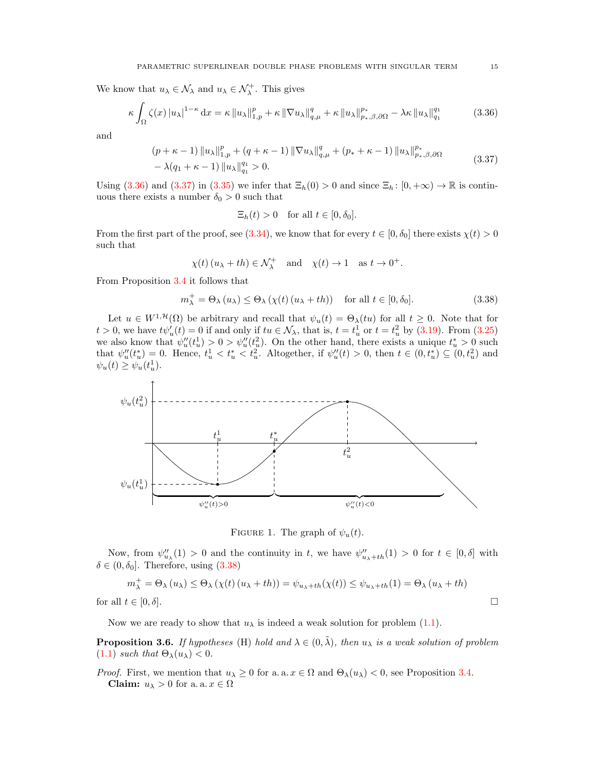We know that  $u_{\lambda} \in \mathcal{N}_{\lambda}$  and  $u_{\lambda} \in \mathcal{N}_{\lambda}^{+}$ . This gives

$$
\kappa \int_{\Omega} \zeta(x) \left| u_{\lambda} \right|^{1-\kappa} dx = \kappa \left\| u_{\lambda} \right\|_{1,p}^p + \kappa \left\| \nabla u_{\lambda} \right\|_{q,\mu}^q + \kappa \left\| u_{\lambda} \right\|_{p_{\ast},\beta,\partial\Omega}^{p_{\ast}} - \lambda \kappa \left\| u_{\lambda} \right\|_{q_1}^{q_1} \tag{3.36}
$$

and

$$
(p + \kappa - 1) \|u_{\lambda}\|_{1,p}^p + (q + \kappa - 1) \|\nabla u_{\lambda}\|_{q,\mu}^q + (p_* + \kappa - 1) \|u_{\lambda}\|_{p_*,\beta,\partial\Omega}^{p_*}
$$
  
-  $\lambda(q_1 + \kappa - 1) \|u_{\lambda}\|_{q_1}^{q_1} > 0.$  (3.37)

Using  $(3.36)$  and  $(3.37)$  in  $(3.35)$  we infer that  $\Xi_h(0) > 0$  and since  $\Xi_h: [0, +\infty) \to \mathbb{R}$  is continuous there exists a number  $\delta_0 > 0$  such that

$$
\Xi_h(t) > 0 \quad \text{for all } t \in [0, \delta_0].
$$

From the first part of the proof, see [\(3.34\)](#page-13-5), we know that for every  $t \in [0, \delta_0]$  there exists  $\chi(t) > 0$ such that

$$
\chi(t) (u_{\lambda} + th) \in \mathcal{N}_{\lambda}^{+}
$$
 and  $\chi(t) \to 1$  as  $t \to 0^{+}$ .

From Proposition [3.4](#page-8-0) it follows that

$$
m_{\lambda}^{+} = \Theta_{\lambda} (u_{\lambda}) \leq \Theta_{\lambda} (\chi(t) (u_{\lambda} + th)) \quad \text{for all } t \in [0, \delta_0].
$$
 (3.38)

Let  $u \in W^{1,\mathcal{H}}(\Omega)$  be arbitrary and recall that  $\psi_u(t) = \Theta_\lambda(tu)$  for all  $t \geq 0$ . Note that for  $t > 0$ , we have  $t\psi'_u(t) = 0$  if and only if  $tu \in \mathcal{N}_\lambda$ , that is,  $t = t_u^1$  or  $t = t_u^2$  by [\(3.19\)](#page-10-3). From [\(3.25\)](#page-11-5) we also know that  $\psi_u''(t_u^1) > 0 > \psi_u''(t_u^2)$ . On the other hand, there exists a unique  $t_u^* > 0$  such that  $\psi_u''(t_u^*) = 0$ . Hence,  $t_u^1 < t_u^* < t_u^2$ . Altogether, if  $\psi_u''(t) > 0$ , then  $t \in (0, t_u^*) \subseteq (0, t_u^2)$  and  $\psi_u(t) \geq \psi_u(t_u)$ .



<span id="page-14-3"></span>FIGURE 1. The graph of  $\psi_u(t)$ .

Now, from  $\psi''_{u_{\lambda}}(1) > 0$  and the continuity in t, we have  $\psi''_{u_{\lambda}+th}(1) > 0$  for  $t \in [0,\delta]$  with  $\delta \in (0, \delta_0]$ . Therefore, using  $(3.38)$ 

$$
m_{\lambda}^{+} = \Theta_{\lambda}(u_{\lambda}) \leq \Theta_{\lambda}(\chi(t)(u_{\lambda} + th)) = \psi_{u_{\lambda} + th}(\chi(t)) \leq \psi_{u_{\lambda} + th}(1) = \Theta_{\lambda}(u_{\lambda} + th)
$$

for all  $t \in [0, \delta]$ .

Now we are ready to show that  $u_{\lambda}$  is indeed a weak solution for problem [\(1.1\)](#page-0-1).

<span id="page-14-4"></span>**Proposition 3.6.** If hypotheses (H) hold and  $\lambda \in (0, \tilde{\lambda})$ , then  $u_{\lambda}$  is a weak solution of problem [\(1.1\)](#page-0-1) such that  $\Theta_{\lambda}(u_{\lambda}) < 0$ .

*Proof.* First, we mention that  $u_{\lambda} \geq 0$  for a. a.  $x \in \Omega$  and  $\Theta_{\lambda}(u_{\lambda}) < 0$ , see Proposition [3.4.](#page-8-0) **Claim:**  $u_{\lambda} > 0$  for a. a.  $x \in \Omega$ 

<span id="page-14-2"></span><span id="page-14-1"></span><span id="page-14-0"></span>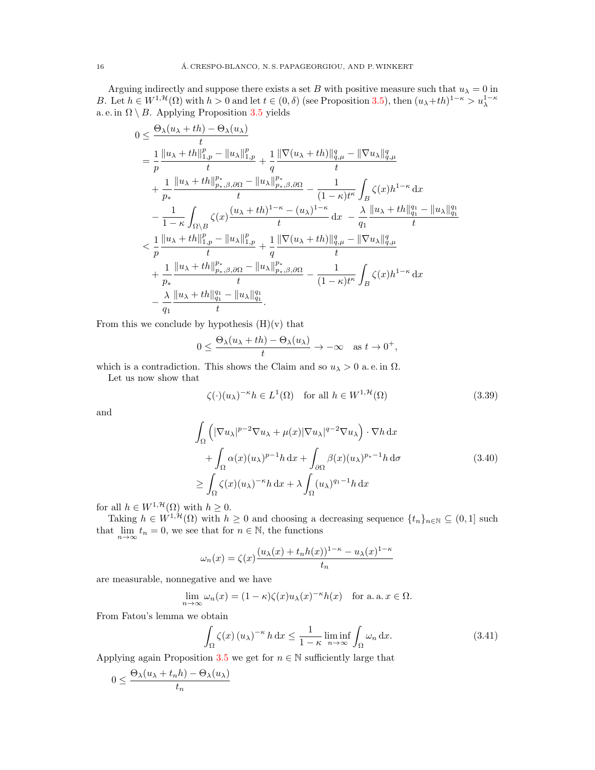Arguing indirectly and suppose there exists a set B with positive measure such that  $u_{\lambda} = 0$  in B. Let  $h \in W^{1,\mathcal{H}}(\Omega)$  with  $h > 0$  and let  $t \in (0,\delta)$  (see Proposition [3.5\)](#page-13-6), then  $(u_{\lambda}+th)^{1-\kappa} > u_{\lambda}^{1-\kappa}$ a. e. in  $\Omega \setminus B$ . Applying Proposition [3.5](#page-13-6) yields

$$
0 \leq \frac{\Theta_{\lambda}(u_{\lambda} + th) - \Theta_{\lambda}(u_{\lambda})}{t} = \frac{1}{p} \frac{\|u_{\lambda} + th\|_{1,p}^{p} - \|u_{\lambda}\|_{1,p}^{p}}{t} + \frac{1}{q} \frac{\|\nabla(u_{\lambda} + th)\|_{q,\mu}^{q} - \|\nabla u_{\lambda}\|_{q,\mu}^{q}}{t} + \frac{1}{p_{*}} \frac{\|u_{\lambda} + th\|_{p_{*},\beta,\partial\Omega}^{p_{*}} - \|u_{\lambda}\|_{p_{*},\beta,\partial\Omega}^{p_{*}}}{t} - \frac{1}{(1 - \kappa)t^{\kappa}} \int_{B} \zeta(x)h^{1 - \kappa} dx - \frac{1}{1 - \kappa} \int_{\Omega \backslash B} \zeta(x) \frac{(u_{\lambda} + th)^{1 - \kappa} - (u_{\lambda})^{1 - \kappa}}{t} dx - \frac{\lambda}{q_{1}} \frac{\|u_{\lambda} + th\|_{q_{1}}^{q_{1}} - \|u_{\lambda}\|_{q_{1}}^{q_{1}}}{t} < \frac{1}{p} \frac{\|u_{\lambda} + th\|_{1,p}^{p} - \|u_{\lambda}\|_{1,p}^{q}}{t} + \frac{1}{q} \frac{\|\nabla(u_{\lambda} + th)\|_{q,\mu}^{q} - \|\nabla u_{\lambda}\|_{q,\mu}^{q}}{t} + \frac{1}{p_{*}} \frac{\|u_{\lambda} + th\|_{p_{*},\beta,\partial\Omega}^{p_{*}} - \|u_{\lambda}\|_{p_{*},\beta,\partial\Omega}^{p_{*}}}{t} - \frac{1}{(1 - \kappa)t^{\kappa}} \int_{B} \zeta(x)h^{1 - \kappa} dx - \frac{\lambda}{q_{1}} \frac{\|u_{\lambda} + th\|_{q_{1}}^{q_{1}} - \|u_{\lambda}\|_{q_{1}}^{q_{1}}}{t}.
$$

From this we conclude by hypothesis  $(H)(v)$  that

$$
0 \le \frac{\Theta_{\lambda}(u_{\lambda} + th) - \Theta_{\lambda}(u_{\lambda})}{t} \to -\infty \quad \text{as } t \to 0^+,
$$

which is a contradiction. This shows the Claim and so  $u_{\lambda} > 0$  a.e. in  $\Omega$ .

Let us now show that

<span id="page-15-2"></span><span id="page-15-1"></span>
$$
\zeta(\cdot)(u_{\lambda})^{-\kappa}h \in L^{1}(\Omega) \quad \text{for all } h \in W^{1, \mathcal{H}}(\Omega)
$$
\n(3.39)

and

$$
\int_{\Omega} \left( |\nabla u_{\lambda}|^{p-2} \nabla u_{\lambda} + \mu(x) |\nabla u_{\lambda}|^{q-2} \nabla u_{\lambda} \right) \cdot \nabla h \, dx \n+ \int_{\Omega} \alpha(x) (u_{\lambda})^{p-1} h \, dx + \int_{\partial \Omega} \beta(x) (u_{\lambda})^{p_{*}-1} h \, d\sigma \n\geq \int_{\Omega} \zeta(x) (u_{\lambda})^{-\kappa} h \, dx + \lambda \int_{\Omega} (u_{\lambda})^{q_{1}-1} h \, dx
$$
\n(3.40)

for all  $h \in W^{1,\mathcal{H}}(\Omega)$  with  $h \geq 0$ .

Taking  $h \in W^{1,\mathcal{H}}(\Omega)$  with  $h \geq 0$  and choosing a decreasing sequence  $\{t_n\}_{n\in\mathbb{N}} \subseteq (0,1]$  such that  $\lim_{n \to \infty} t_n = 0$ , we see that for  $n \in \mathbb{N}$ , the functions

$$
\omega_n(x) = \zeta(x) \frac{(u_\lambda(x) + t_n h(x))^{1-\kappa} - u_\lambda(x)^{1-\kappa}}{t_n}
$$

are measurable, nonnegative and we have

$$
\lim_{n \to \infty} \omega_n(x) = (1 - \kappa) \zeta(x) u_\lambda(x)^{-\kappa} h(x) \quad \text{for a. a. } x \in \Omega.
$$

From Fatou's lemma we obtain

<span id="page-15-0"></span>
$$
\int_{\Omega} \zeta(x) \left(u_{\lambda}\right)^{-\kappa} h \, \mathrm{d}x \le \frac{1}{1-\kappa} \liminf_{n \to \infty} \int_{\Omega} \omega_n \, \mathrm{d}x. \tag{3.41}
$$

Applying again Proposition [3.5](#page-13-6) we get for  $n \in \mathbb{N}$  sufficiently large that

$$
0 \le \frac{\Theta_{\lambda}(u_{\lambda} + t_n h) - \Theta_{\lambda}(u_{\lambda})}{t_n}
$$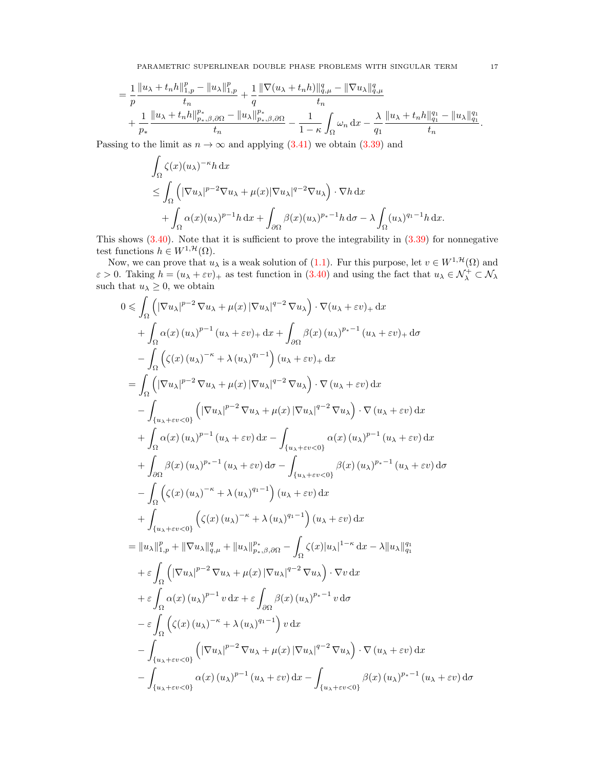PARAMETRIC SUPERLINEAR DOUBLE PHASE PROBLEMS WITH SINGULAR TERM 17

$$
= \frac{1}{p} \frac{\|u_{\lambda} + t_n h\|_{1,p}^p - \|u_{\lambda}\|_{1,p}^p}{t_n} + \frac{1}{q} \frac{\|\nabla(u_{\lambda} + t_n h)\|_{q,\mu}^q - \|\nabla u_{\lambda}\|_{q,\mu}^q}{t_n} + \frac{1}{p_*} \frac{\|u_{\lambda} + t_n h\|_{p_*,\beta,\partial\Omega}^{p_*} - \|u_{\lambda}\|_{p_*,\beta,\partial\Omega}^{p_*}}{t_n} - \frac{1}{1-\kappa} \int_{\Omega} \omega_n \, dx - \frac{\lambda}{q_1} \frac{\|u_{\lambda} + t_n h\|_{q_1}^{q_1} - \|u_{\lambda}\|_{q_1}^{q_1}}{t_n}.
$$

Passing to the limit as  $n \to \infty$  and applying [\(3.41\)](#page-15-0) we obtain [\(3.39\)](#page-15-1) and

$$
\int_{\Omega} \zeta(x)(u_{\lambda})^{-\kappa} h \,dx
$$
\n
$$
\leq \int_{\Omega} \left( |\nabla u_{\lambda}|^{p-2} \nabla u_{\lambda} + \mu(x) |\nabla u_{\lambda}|^{q-2} \nabla u_{\lambda} \right) \cdot \nabla h \,dx
$$
\n
$$
+ \int_{\Omega} \alpha(x)(u_{\lambda})^{p-1} h \,dx + \int_{\partial\Omega} \beta(x)(u_{\lambda})^{p_{*}-1} h \,d\sigma - \lambda \int_{\Omega} (u_{\lambda})^{q_{1}-1} h \,dx.
$$

This shows  $(3.40)$ . Note that it is sufficient to prove the integrability in  $(3.39)$  for nonnegative test functions  $h \in W^{1,\mathcal{H}}(\Omega)$ .

Now, we can prove that  $u_\lambda$  is a weak solution of [\(1.1\)](#page-0-1). Fur this purpose, let  $v \in W^{1, \mathcal{H}}(\Omega)$  and  $\varepsilon > 0$ . Taking  $h = (u_{\lambda} + \varepsilon v)_{+}$  as test function in  $(3.40)$  and using the fact that  $u_{\lambda} \in \mathcal{N}_{\lambda}^{+} \subset \mathcal{N}_{\lambda}$ such that  $u_{\lambda} \geq 0$ , we obtain

$$
0 \leq \int_{\Omega} \left( |\nabla u_{\lambda}|^{p-2} \nabla u_{\lambda} + \mu(x) |\nabla u_{\lambda}|^{q-2} \nabla u_{\lambda} \right) \cdot \nabla (u_{\lambda} + \varepsilon v)_{+} dx
$$
  
+ 
$$
\int_{\Omega} \alpha(x) (u_{\lambda})^{p-1} (u_{\lambda} + \varepsilon v)_{+} dx + \int_{\partial \Omega} \beta(x) (u_{\lambda})^{p_{*}-1} (u_{\lambda} + \varepsilon v)_{+} d\sigma
$$
  
- 
$$
\int_{\Omega} \left( \zeta(x) (u_{\lambda})^{-\kappa} + \lambda (u_{\lambda})^{q_{1}-1} \right) (u_{\lambda} + \varepsilon v)_{+} dx
$$
  
= 
$$
\int_{\Omega} \left( |\nabla u_{\lambda}|^{p-2} \nabla u_{\lambda} + \mu(x) |\nabla u_{\lambda}|^{q-2} \nabla u_{\lambda} \right) \cdot \nabla (u_{\lambda} + \varepsilon v) dx
$$
  
+ 
$$
\int_{\Omega} \alpha(x) (u_{\lambda})^{p-1} (u_{\lambda} + \varepsilon v) dx - \int_{\{u_{\lambda} + \varepsilon v < 0\}} \alpha(x) (u_{\lambda})^{p-1} (u_{\lambda} + \varepsilon v) dx
$$
  
+ 
$$
\int_{\partial \Omega} \beta(x) (u_{\lambda})^{p-1} (u_{\lambda} + \varepsilon v) dx - \int_{\{u_{\lambda} + \varepsilon v < 0\}} \beta(x) (u_{\lambda})^{p-1} (u_{\lambda} + \varepsilon v) dx
$$
  
+ 
$$
\int_{\partial \Omega} \left( \zeta(x) (u_{\lambda})^{-\kappa} + \lambda (u_{\lambda})^{q_{1}-1} \right) (u_{\lambda} + \varepsilon v) dx
$$
  
+ 
$$
\int_{\{u_{\lambda} + \varepsilon v < 0\}} \left( \zeta(x) (u_{\lambda})^{-\kappa} + \lambda (u_{\lambda})^{q_{1}-1} \right) (u_{\lambda} + \varepsilon v) dx
$$
  
+ 
$$
\int_{\{u_{\lambda} + \varepsilon v < 0\}} \left( \zeta(x) (u_{\lambda})^{-\kappa} + \lambda (u_{\lambda})^{q_{1}-1
$$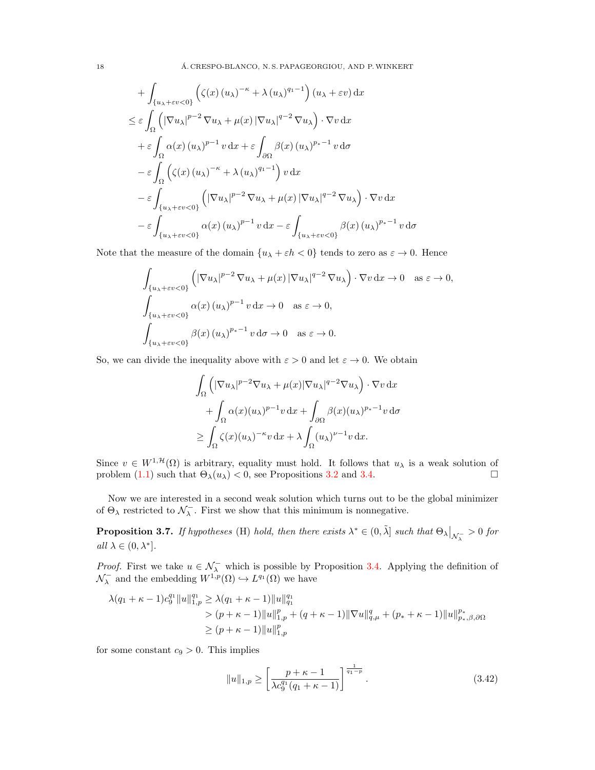18 **A. CRESPO-BLANCO, N. S. PAPAGEORGIOU, AND P. WINKERT** 

+ 
$$
\int_{\{u_{\lambda}+\varepsilon v<0\}} (\zeta(x) (u_{\lambda})^{-\kappa} + \lambda (u_{\lambda})^{q_1-1}) (u_{\lambda} + \varepsilon v) dx
$$
  
\n $\leq \varepsilon \int_{\Omega} (|\nabla u_{\lambda}|^{p-2} \nabla u_{\lambda} + \mu(x) |\nabla u_{\lambda}|^{q-2} \nabla u_{\lambda}) \cdot \nabla v dx$   
\n+  $\varepsilon \int_{\Omega} \alpha(x) (u_{\lambda})^{p-1} v dx + \varepsilon \int_{\partial \Omega} \beta(x) (u_{\lambda})^{p_*-1} v d\sigma$   
\n-  $\varepsilon \int_{\Omega} (\zeta(x) (u_{\lambda})^{-\kappa} + \lambda (u_{\lambda})^{q_1-1}) v dx$   
\n-  $\varepsilon \int_{\{u_{\lambda}+\varepsilon v<0\}} (|\nabla u_{\lambda}|^{p-2} \nabla u_{\lambda} + \mu(x) |\nabla u_{\lambda}|^{q-2} \nabla u_{\lambda}) \cdot \nabla v dx$   
\n-  $\varepsilon \int_{\{u_{\lambda}+\varepsilon v<0\}} \alpha(x) (u_{\lambda})^{p-1} v dx - \varepsilon \int_{\{u_{\lambda}+\varepsilon v<0\}} \beta(x) (u_{\lambda})^{p_*-1} v d\sigma$ 

Note that the measure of the domain  $\{u_\lambda + \varepsilon h < 0\}$  tends to zero as  $\varepsilon \to 0$ . Hence

$$
\int_{\{u_{\lambda}+\varepsilon v<0\}} \left( |\nabla u_{\lambda}|^{p-2} \nabla u_{\lambda} + \mu(x) |\nabla u_{\lambda}|^{q-2} \nabla u_{\lambda} \right) \cdot \nabla v \, dx \to 0 \quad \text{as } \varepsilon \to 0,
$$
\n
$$
\int_{\{u_{\lambda}+\varepsilon v<0\}} \alpha(x) (u_{\lambda})^{p-1} v \, dx \to 0 \quad \text{as } \varepsilon \to 0,
$$
\n
$$
\int_{\{u_{\lambda}+\varepsilon v<0\}} \beta(x) (u_{\lambda})^{p_{*}-1} v \, d\sigma \to 0 \quad \text{as } \varepsilon \to 0.
$$

So, we can divide the inequality above with  $\varepsilon > 0$  and let  $\varepsilon \to 0$ . We obtain

$$
\int_{\Omega} \left( |\nabla u_{\lambda}|^{p-2} \nabla u_{\lambda} + \mu(x) |\nabla u_{\lambda}|^{q-2} \nabla u_{\lambda} \right) \cdot \nabla v \, dx \n+ \int_{\Omega} \alpha(x) (u_{\lambda})^{p-1} v \, dx + \int_{\partial \Omega} \beta(x) (u_{\lambda})^{p_{*}-1} v \, d\sigma \n\geq \int_{\Omega} \zeta(x) (u_{\lambda})^{-\kappa} v \, dx + \lambda \int_{\Omega} (u_{\lambda})^{\nu-1} v \, dx.
$$

Since  $v \in W^{1,\mathcal{H}}(\Omega)$  is arbitrary, equality must hold. It follows that  $u_\lambda$  is a weak solution of problem [\(1.1\)](#page-0-1) such that  $\Theta_{\lambda}(u_{\lambda}) < 0$ , see Propositions [3.2](#page-7-3) and [3.4.](#page-8-0)

Now we are interested in a second weak solution which turns out to be the global minimizer of  $\Theta_{\lambda}$  restricted to  $\mathcal{N}_{\lambda}^{-}$ . First we show that this minimum is nonnegative.

<span id="page-17-1"></span>**Proposition 3.7.** If hypotheses (H) hold, then there exists  $\lambda^* \in (0, \tilde{\lambda}]$  such that  $\Theta_{\lambda}|_{\mathcal{N}_{\lambda}^{-}}>0$  for all  $\lambda \in (0, \lambda^*]$ .

*Proof.* First we take  $u \in \mathcal{N}_{\lambda}^-$  which is possible by Proposition [3.4.](#page-8-0) Applying the definition of  $\mathcal{N}_{\lambda}^-$  and the embedding  $W^{1,p}(\Omega) \hookrightarrow L^{q_1}(\Omega)$  we have

$$
\lambda(q_1 + \kappa - 1)c_9^{q_1} \|u\|_{1,p}^{q_1} \ge \lambda(q_1 + \kappa - 1) \|u\|_{q_1}^{q_1}
$$
  
> 
$$
(p + \kappa - 1) \|u\|_{1,p}^p + (q + \kappa - 1) \|\nabla u\|_{q,\mu}^q + (p_* + \kappa - 1) \|u\|_{p_*,\beta,\partial\Omega}^{p_*}
$$
  

$$
\ge (p + \kappa - 1) \|u\|_{1,p}^p
$$

for some constant  $c_9 > 0$ . This implies

<span id="page-17-0"></span>
$$
||u||_{1,p} \ge \left[\frac{p+\kappa-1}{\lambda c_9^{q_1}(q_1+\kappa-1)}\right]^{\frac{1}{q_1-p}}.\tag{3.42}
$$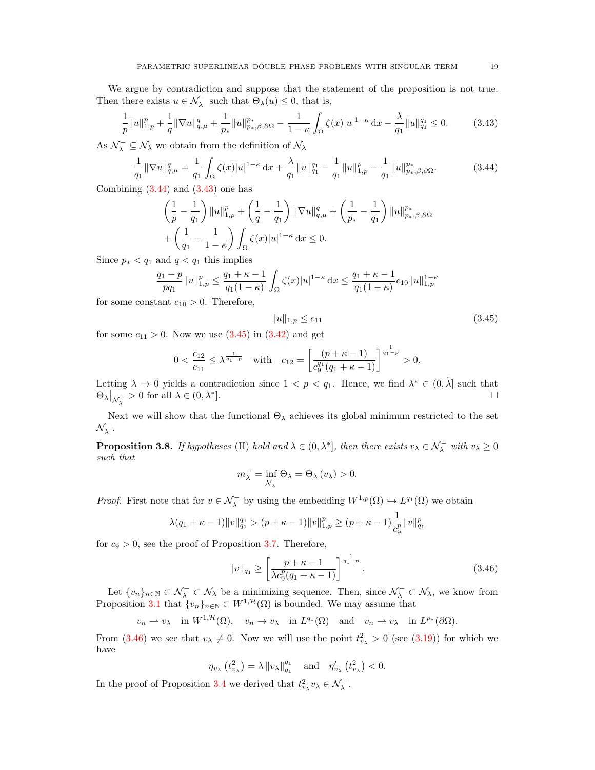We argue by contradiction and suppose that the statement of the proposition is not true. Then there exists  $u \in \mathcal{N}_{\lambda}^-$  such that  $\Theta_{\lambda}(u) \leq 0$ , that is,

<span id="page-18-1"></span>
$$
\frac{1}{p} \|u\|_{1,p}^p + \frac{1}{q} \|\nabla u\|_{q,\mu}^q + \frac{1}{p_*} \|u\|_{p_*,\beta,\partial\Omega}^{p_*} - \frac{1}{1-\kappa} \int_{\Omega} \zeta(x) |u|^{1-\kappa} \, \mathrm{d}x - \frac{\lambda}{q_1} \|u\|_{q_1}^{q_1} \le 0. \tag{3.43}
$$

As  $\mathcal{N}_{\lambda}^{-} \subseteq \mathcal{N}_{\lambda}$  we obtain from the definition of  $\mathcal{N}_{\lambda}$ 

<span id="page-18-0"></span>
$$
\frac{1}{q_1} \|\nabla u\|_{q,\mu}^q = \frac{1}{q_1} \int_{\Omega} \zeta(x)|u|^{1-\kappa} \, \mathrm{d}x + \frac{\lambda}{q_1} \|u\|_{q_1}^{q_1} - \frac{1}{q_1} \|u\|_{1,p}^p - \frac{1}{q_1} \|u\|_{p_*,\beta,\partial\Omega}^{p_*}.\tag{3.44}
$$

Combining  $(3.44)$  and  $(3.43)$  one has

$$
\left(\frac{1}{p} - \frac{1}{q_1}\right) \|u\|_{1,p}^p + \left(\frac{1}{q} - \frac{1}{q_1}\right) \|\nabla u\|_{q,\mu}^q + \left(\frac{1}{p_*} - \frac{1}{q_1}\right) \|u\|_{p_*,\beta,\partial\Omega}^{p_*}
$$

$$
+ \left(\frac{1}{q_1} - \frac{1}{1-\kappa}\right) \int_{\Omega} \zeta(x) |u|^{1-\kappa} \, \mathrm{d}x \le 0.
$$

Since  $p_* < q_1$  and  $q < q_1$  this implies

$$
\frac{q_1-p}{pq_1}\|u\|_{1,p}^p\leq \frac{q_1+\kappa-1}{q_1(1-\kappa)}\int_{\Omega}\zeta(x)|u|^{1-\kappa}\,\mathrm{d} x\leq \frac{q_1+\kappa-1}{q_1(1-\kappa)}c_{10}\|u\|_{1,p}^{1-\kappa}
$$

for some constant  $c_{10} > 0$ . Therefore,

<span id="page-18-2"></span>
$$
||u||_{1,p} \le c_{11} \tag{3.45}
$$

for some  $c_{11} > 0$ . Now we use  $(3.45)$  in  $(3.42)$  and get

$$
0 < \frac{c_{12}}{c_{11}} \le \lambda^{\frac{1}{q_1 - p}} \quad \text{with} \quad c_{12} = \left[ \frac{\left( p + \kappa - 1 \right)}{c_9^{q_1} \left( q_1 + \kappa - 1 \right)} \right]^{\frac{1}{q_1 - p}} > 0.
$$

Letting  $\lambda \to 0$  yields a contradiction since  $1 < p < q_1$ . Hence, we find  $\lambda^* \in (0, \tilde{\lambda}]$  such that  $\Theta_{\lambda}\big|_{\mathcal{N}_{\lambda}^-}>0$  for all  $\lambda\in(0,\lambda^*$ ].

Next we will show that the functional  $\Theta_{\lambda}$  achieves its global minimum restricted to the set  $\mathcal{N}_{\lambda}^{-}$ .

<span id="page-18-4"></span>**Proposition 3.8.** If hypotheses (H) hold and  $\lambda \in (0, \lambda^*]$ , then there exists  $v_{\lambda} \in \mathcal{N}_{\lambda}^-$  with  $v_{\lambda} \geq 0$ such that

$$
m_{\lambda}^{-}=\inf_{\mathcal{N}_{\lambda}^{-}}\Theta_{\lambda}=\Theta_{\lambda}\left(v_{\lambda}\right)>0.
$$

*Proof.* First note that for  $v \in \mathcal{N}_{\lambda}^-$  by using the embedding  $W^{1,p}(\Omega) \hookrightarrow L^{q_1}(\Omega)$  we obtain

$$
\lambda(q_1 + \kappa - 1) ||v||_{q_1}^{q_1} > (p + \kappa - 1) ||v||_{1,p}^p \ge (p + \kappa - 1) \frac{1}{c_9^p} ||v||_{q_1}^p
$$

for  $c_9 > 0$ , see the proof of Proposition [3.7.](#page-17-1) Therefore,

<span id="page-18-3"></span>
$$
||v||_{q_1} \ge \left[\frac{p+\kappa-1}{\lambda c_9^p(q_1+\kappa-1)}\right]^{\frac{1}{q_1-p}}.
$$
\n(3.46)

Let  $\{v_n\}_{n\in\mathbb{N}}\subset\mathcal{N}_{\lambda}\subset\mathcal{N}_{\lambda}$  be a minimizing sequence. Then, since  $\mathcal{N}_{\lambda}\subset\mathcal{N}_{\lambda}$ , we know from Proposition [3.1](#page-6-2) that  ${v_n}_{n\in\mathbb{N}} \subset W^{1,\mathcal{H}}(\Omega)$  is bounded. We may assume that

$$
v_n \rightharpoonup v_\lambda
$$
 in  $W^{1,\mathcal{H}}(\Omega)$ ,  $v_n \to v_\lambda$  in  $L^{q_1}(\Omega)$  and  $v_n \rightharpoonup v_\lambda$  in  $L^{p_*}(\partial\Omega)$ .

From  $(3.46)$  we see that  $v_{\lambda} \neq 0$ . Now we will use the point  $t_{v_{\lambda}}^2 > 0$  (see  $(3.19)$ ) for which we have

$$
\eta_{v_{\lambda}}\left(t_{v_{\lambda}}^{2}\right)=\lambda\left\Vert v_{\lambda}\right\Vert _{q_{1}}^{q_{1}} \quad \text{and} \quad \eta_{v_{\lambda}}'\left(t_{v_{\lambda}}^{2}\right)<0.
$$

In the proof of Proposition [3.4](#page-8-0) we derived that  $t_{v_{\lambda}}^2 v_{\lambda} \in \mathcal{N}_{\lambda}^-$ .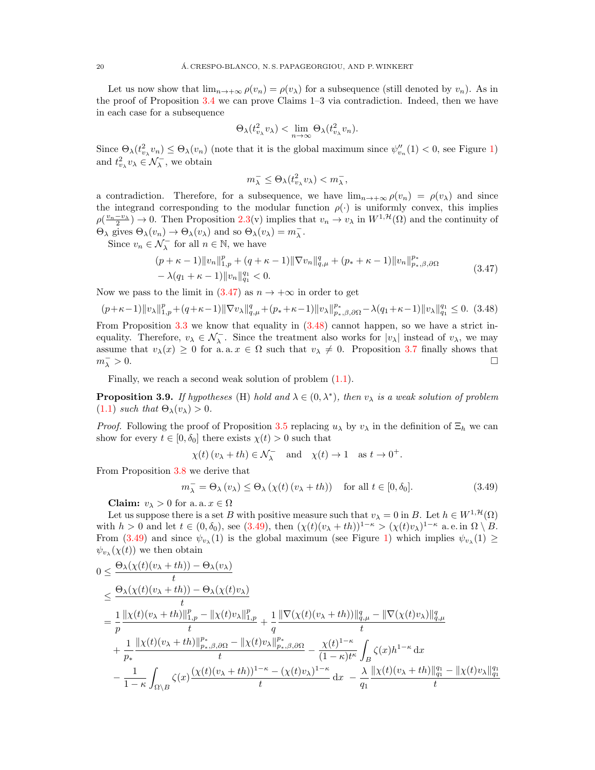Let us now show that  $\lim_{n\to+\infty}\rho(v_n)=\rho(v_\lambda)$  for a subsequence (still denoted by  $v_n$ ). As in the proof of Proposition [3.4](#page-8-0) we can prove Claims 1–3 via contradiction. Indeed, then we have in each case for a subsequence

$$
\Theta_{\lambda}(t_{v_{\lambda}}^{2}v_{\lambda}) < \lim_{n \to \infty} \Theta_{\lambda}(t_{v_{\lambda}}^{2}v_{n}).
$$

Since  $\Theta_{\lambda}(t_{v_{\lambda}}^{2}v_{n}) \leq \Theta_{\lambda}(v_{n})$  (note that it is the global maximum since  $\psi_{v_{n}}''(1) < 0$  $\psi_{v_{n}}''(1) < 0$  $\psi_{v_{n}}''(1) < 0$ , see Figure 1) and  $t^2_{v_\lambda} v_\lambda \in \mathcal{N}^-_\lambda$ , we obtain

<span id="page-19-0"></span>
$$
m_\lambda^-\leq \Theta_\lambda(t_{v_\lambda}^2v_\lambda)
$$

a contradiction. Therefore, for a subsequence, we have  $\lim_{n\to+\infty}\rho(v_n) = \rho(v_\lambda)$  and since the integrand corresponding to the modular function  $\rho(\cdot)$  is uniformly convex, this implies  $\rho(\frac{v_n-v_\lambda}{2})\to 0$ . Then Proposition [2.3\(](#page-5-2)v) implies that  $v_n\to v_\lambda$  in  $W^{1,\mathcal{H}}(\Omega)$  and the continuity of  $\Theta_{\lambda}$  gives  $\Theta_{\lambda}(v_n) \to \Theta_{\lambda}(v_{\lambda})$  and so  $\Theta_{\lambda}(v_{\lambda}) = m_{\lambda}^{-}$ .

Since  $v_n \in \mathcal{N}_{\lambda}^-$  for all  $n \in \mathbb{N}$ , we have

$$
(p + \kappa - 1) ||v_n||_{1,p}^p + (q + \kappa - 1) ||\nabla v_n||_{q,\mu}^q + (p_* + \kappa - 1) ||v_n||_{p_*,\beta,\partial\Omega}^{p_*}
$$
  
 
$$
- \lambda (q_1 + \kappa - 1) ||v_n||_{q_1}^{q_1} < 0.
$$
 (3.47)

Now we pass to the limit in  $(3.47)$  as  $n \to +\infty$  in order to get

<span id="page-19-1"></span>
$$
(p+\kappa-1)\|v_{\lambda}\|_{1,p}^p+(q+\kappa-1)\|\nabla v_{\lambda}\|_{q,\mu}^q+(p_*+\kappa-1)\|v_{\lambda}\|_{p_*,\beta,\partial\Omega}^{p_*}-\lambda(q_1+\kappa-1)\|v_{\lambda}\|_{q_1}^{q_1}\leq 0. \tag{3.48}
$$

From Proposition [3.3](#page-8-7) we know that equality in [\(3.48\)](#page-19-1) cannot happen, so we have a strict inequality. Therefore,  $v_{\lambda} \in \mathcal{N}_{\lambda}^-$ . Since the treatment also works for  $|v_{\lambda}|$  instead of  $v_{\lambda}$ , we may assume that  $v_\lambda(x) \geq 0$  for a. a.  $x \in \Omega$  such that  $v_\lambda \neq 0$ . Proposition [3.7](#page-17-1) finally shows that  $m_1^- > 0.$  $\frac{1}{\lambda} > 0.$ 

Finally, we reach a second weak solution of problem [\(1.1\)](#page-0-1).

<span id="page-19-3"></span>**Proposition 3.9.** If hypotheses (H) hold and  $\lambda \in (0, \lambda^*)$ , then  $v_{\lambda}$  is a weak solution of problem [\(1.1\)](#page-0-1) such that  $\Theta_{\lambda}(v_{\lambda}) > 0$ .

*Proof.* Following the proof of Proposition [3.5](#page-13-6) replacing  $u_{\lambda}$  by  $v_{\lambda}$  in the definition of  $\Xi_h$  we can show for every  $t \in [0, \delta_0]$  there exists  $\chi(t) > 0$  such that

<span id="page-19-2"></span>
$$
\chi(t) (v_{\lambda} + th) \in \mathcal{N}_{\lambda}^{-}
$$
 and  $\chi(t) \to 1$  as  $t \to 0^{+}$ .

From Proposition [3.8](#page-18-4) we derive that

$$
m_{\lambda}^{-} = \Theta_{\lambda} \left( v_{\lambda} \right) \le \Theta_{\lambda} \left( \chi(t) \left( v_{\lambda} + th \right) \right) \quad \text{for all } t \in [0, \delta_0]. \tag{3.49}
$$

Claim:  $v_{\lambda} > 0$  for a. a.  $x \in \Omega$ 

Let us suppose there is a set B with positive measure such that  $v_{\lambda} = 0$  in B. Let  $h \in W^{1, \mathcal{H}}(\Omega)$ with  $h > 0$  and let  $t \in (0, \delta_0)$ , see  $(3.49)$ , then  $(\chi(t)(v_\lambda + th))^{1-\kappa} > (\chi(t)v_\lambda)^{1-\kappa}$  a.e. in  $\Omega \setminus B$ . From [\(3.49\)](#page-19-2) and since  $\psi_{v_\lambda}(1)$  $\psi_{v_\lambda}(1)$  is the global maximum (see Figure 1) which implies  $\psi_{v_\lambda}(1) \geq$  $\psi_{v_{\lambda}}(\chi(t))$  we then obtain

$$
0 \leq \frac{\Theta_{\lambda}(\chi(t)(v_{\lambda}+th)) - \Theta_{\lambda}(v_{\lambda})}{t}
$$
  
\n
$$
\leq \frac{\Theta_{\lambda}(\chi(t)(v_{\lambda}+th)) - \Theta_{\lambda}(\chi(t)v_{\lambda})}{t}
$$
  
\n
$$
= \frac{1}{p} \frac{\|\chi(t)(v_{\lambda}+th)\|_{1,p}^p - \|\chi(t)v_{\lambda}\|_{1,p}^p}{t} + \frac{1}{q} \frac{\|\nabla(\chi(t)(v_{\lambda}+th))\|_{q,\mu}^q - \|\nabla(\chi(t)v_{\lambda})\|_{q,\mu}^q}{t}
$$
  
\n
$$
+ \frac{1}{p_*} \frac{\|\chi(t)(v_{\lambda}+th)\|_{p_*,\beta,\partial\Omega}^{p_*} - \|\chi(t)v_{\lambda}\|_{p_*,\beta,\partial\Omega}^{p_*}}{t} - \frac{\chi(t)^{1-\kappa}}{(1-\kappa)t^{\kappa}} \int_B \zeta(x)h^{1-\kappa} dx
$$
  
\n
$$
- \frac{1}{1-\kappa} \int_{\Omega \setminus B} \zeta(x) \frac{(\chi(t)(v_{\lambda}+th))^{1-\kappa} - (\chi(t)v_{\lambda})^{1-\kappa}}{t} dx - \frac{\lambda}{q_1} \frac{\|\chi(t)(v_{\lambda}+th)\|_{q_1}^{q_1} - \|\chi(t)v_{\lambda}\|_{q_1}^{q_1}}{t}
$$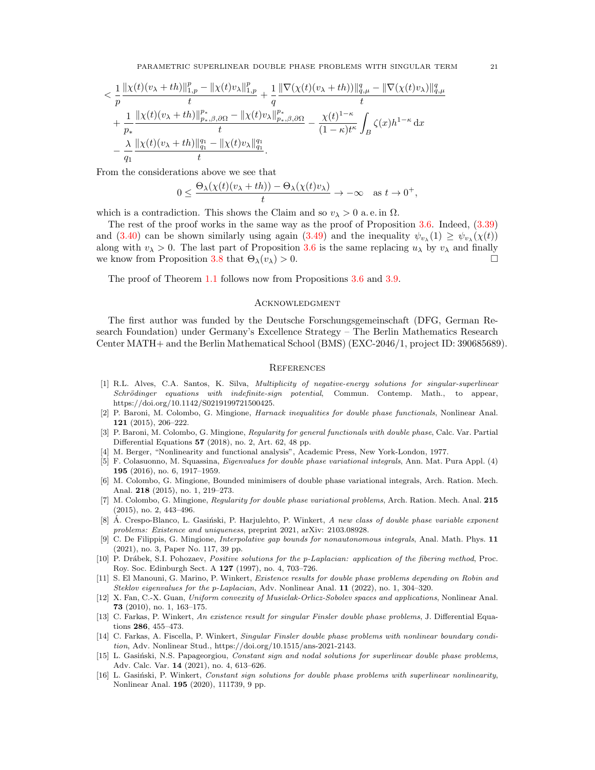$$
< \frac{1}{p}\frac{\|\chi(t)(v_{\lambda}+th)\|_{1,p}^p-\|\chi(t)v_{\lambda}\|_{1,p}^p}{t}+\frac{1}{q}\frac{\|\nabla(\chi(t)(v_{\lambda}+th))\|_{q,\mu}^q-\|\nabla(\chi(t)v_{\lambda})\|_{q,\mu}^q}{t} \\ +\frac{1}{p_*}\frac{\|\chi(t)(v_{\lambda}+th)\|_{p_*,\beta,\partial\Omega}^{p_*}-\|\chi(t)v_{\lambda}\|_{p_*,\beta,\partial\Omega}^{p_*}}{t}-\frac{\chi(t)^{1-\kappa}}{(1-\kappa)t^{\kappa}}\int_{B}\zeta(x)h^{1-\kappa}\,\mathrm{d}x \\ -\frac{\lambda}{q_1}\frac{\|\chi(t)(v_{\lambda}+th)\|_{q_1}^{q_1}-\|\chi(t)v_{\lambda}\|_{q_1}^{q_1}}{t}.
$$

From the considerations above we see that

$$
0 \le \frac{\Theta_{\lambda}(\chi(t)(v_{\lambda} + th)) - \Theta_{\lambda}(\chi(t)v_{\lambda})}{t} \to -\infty \quad \text{as } t \to 0^+,
$$

which is a contradiction. This shows the Claim and so  $v_{\lambda} > 0$  a.e. in  $\Omega$ .

The rest of the proof works in the same way as the proof of Proposition [3.6.](#page-14-4) Indeed,  $(3.39)$ and [\(3.40\)](#page-15-2) can be shown similarly using again [\(3.49\)](#page-19-2) and the inequality  $\psi_{v_\lambda}(1) \geq \psi_{v_\lambda}(\chi(t))$ along with  $v_{\lambda} > 0$ . The last part of Proposition [3.6](#page-14-4) is the same replacing  $u_{\lambda}$  by  $v_{\lambda}$  and finally we know from Proposition [3.8](#page-18-4) that  $\Theta_{\lambda}(v_{\lambda}) > 0$ .

The proof of Theorem [1.1](#page-1-1) follows now from Propositions [3.6](#page-14-4) and [3.9.](#page-19-3)

# **ACKNOWLEDGMENT**

The first author was funded by the Deutsche Forschungsgemeinschaft (DFG, German Research Foundation) under Germany's Excellence Strategy – The Berlin Mathematics Research Center MATH+ and the Berlin Mathematical School (BMS) (EXC-2046/1, project ID: 390685689).

#### **REFERENCES**

- <span id="page-20-8"></span>[1] R.L. Alves, C.A. Santos, K. Silva, Multiplicity of negative-energy solutions for singular-superlinear Schrödinger equations with indefinite-sign potential, Commun. Contemp. Math., to appear, https://doi.org/10.1142/S0219199721500425.
- <span id="page-20-0"></span>[2] P. Baroni, M. Colombo, G. Mingione, Harnack inequalities for double phase functionals, Nonlinear Anal. 121 (2015), 206–222.
- <span id="page-20-1"></span>[3] P. Baroni, M. Colombo, G. Mingione, Regularity for general functionals with double phase, Calc. Var. Partial Differential Equations 57 (2018), no. 2, Art. 62, 48 pp.
- <span id="page-20-15"></span>[4] M. Berger, "Nonlinearity and functional analysis", Academic Press, New York-London, 1977.
- <span id="page-20-9"></span>[5] F. Colasuonno, M. Squassina, Eigenvalues for double phase variational integrals, Ann. Mat. Pura Appl. (4) 195 (2016), no. 6, 1917–1959.
- <span id="page-20-2"></span>[6] M. Colombo, G. Mingione, Bounded minimisers of double phase variational integrals, Arch. Ration. Mech. Anal. 218 (2015), no. 1, 219–273.
- <span id="page-20-3"></span>[7] M. Colombo, G. Mingione, Regularity for double phase variational problems, Arch. Ration. Mech. Anal. 215 (2015), no. 2, 443–496.
- <span id="page-20-13"></span>[8] A. Crespo-Blanco, L. Gasiński, P. Harjulehto, P. Winkert, A new class of double phase variable exponent problems: Existence and uniqueness, preprint 2021, arXiv: 2103.08928.
- <span id="page-20-4"></span>[9] C. De Filippis, G. Mingione, Interpolative gap bounds for nonautonomous integrals, Anal. Math. Phys. 11 (2021), no. 3, Paper No. 117, 39 pp.
- <span id="page-20-7"></span>[10] P. Drábek, S.I. Pohozaev, Positive solutions for the p-Laplacian: application of the fibering method, Proc. Roy. Soc. Edinburgh Sect. A 127 (1997), no. 4, 703–726.
- <span id="page-20-6"></span>[11] S. El Manouni, G. Marino, P. Winkert, Existence results for double phase problems depending on Robin and Steklov eigenvalues for the p-Laplacian, Adv. Nonlinear Anal. 11 (2022), no. 1, 304–320.
- <span id="page-20-14"></span>[12] X. Fan, C.-X. Guan, Uniform convexity of Musielak-Orlicz-Sobolev spaces and applications, Nonlinear Anal. 73 (2010), no. 1, 163–175.
- <span id="page-20-10"></span>[13] C. Farkas, P. Winkert, An existence result for singular Finsler double phase problems, J. Differential Equations 286, 455–473.
- <span id="page-20-5"></span>[14] C. Farkas, A. Fiscella, P. Winkert, Singular Finsler double phase problems with nonlinear boundary condition, Adv. Nonlinear Stud., https://doi.org/10.1515/ans-2021-2143.
- <span id="page-20-11"></span>[15] L. Gasiński, N.S. Papageorgiou, Constant sign and nodal solutions for superlinear double phase problems, Adv. Calc. Var. 14 (2021), no. 4, 613–626.
- <span id="page-20-12"></span>[16] L. Gasiński, P. Winkert, Constant sign solutions for double phase problems with superlinear nonlinearity, Nonlinear Anal. 195 (2020), 111739, 9 pp.